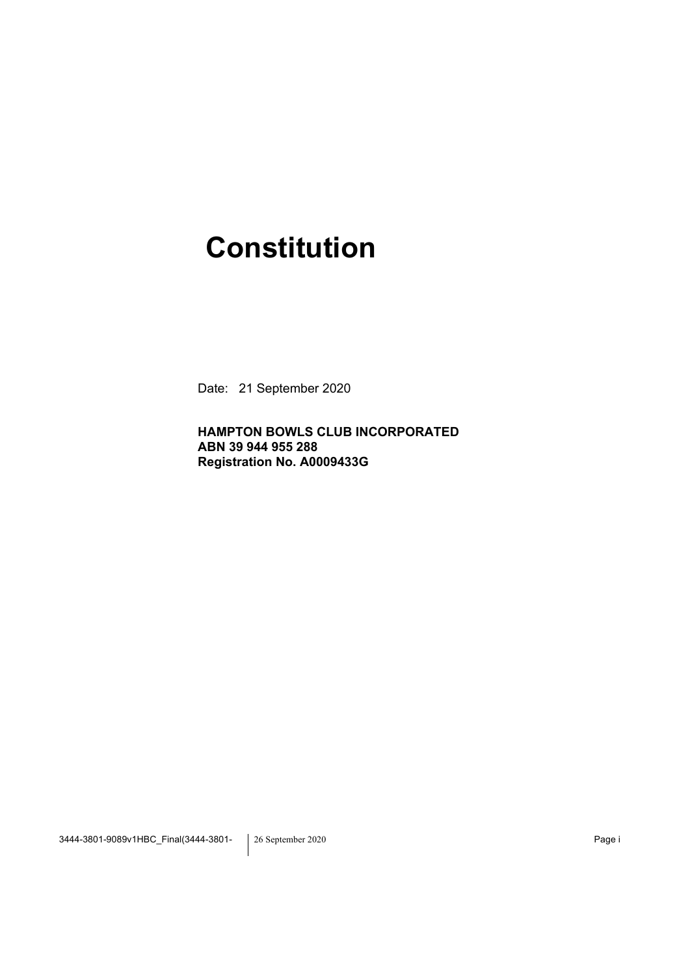## **Constitution**

Date: 21 September 2020

**HAMPTON BOWLS CLUB INCORPORATED ABN 39 944 955 288 Registration No. A0009433G**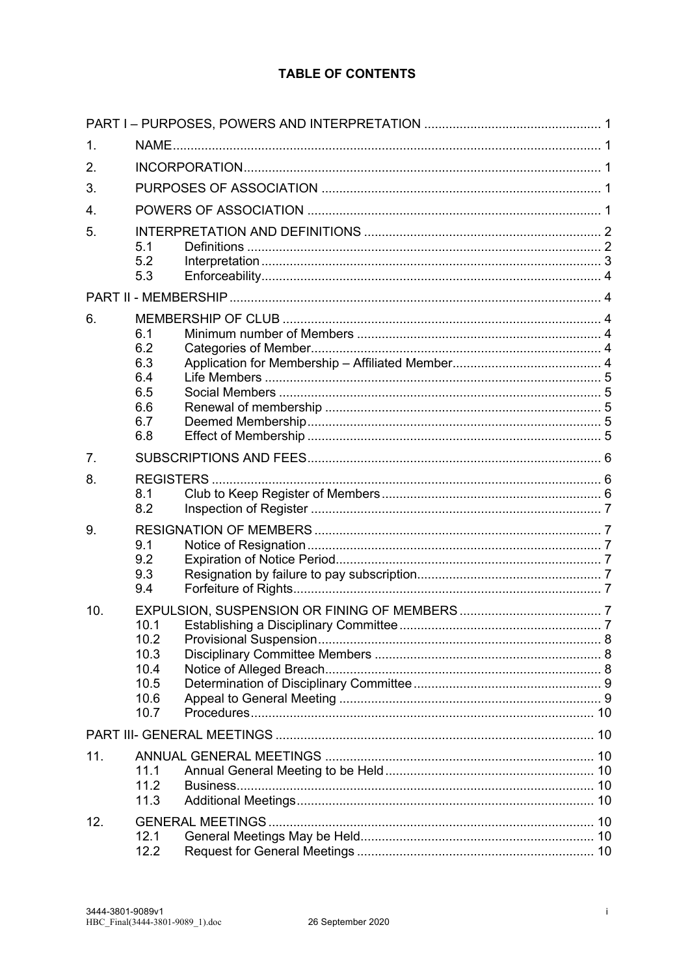## **TABLE OF CONTENTS**

| 1.             |                                                      |  |  |  |
|----------------|------------------------------------------------------|--|--|--|
| 2.             |                                                      |  |  |  |
| 3.             |                                                      |  |  |  |
| 4.             |                                                      |  |  |  |
| 5.             | 5.1<br>5.2<br>5.3                                    |  |  |  |
|                |                                                      |  |  |  |
| 6.             | 6.1<br>6.2<br>6.3<br>6.4<br>6.5<br>6.6<br>6.7<br>6.8 |  |  |  |
| 7 <sub>1</sub> |                                                      |  |  |  |
| 8.             | 8.1<br>8.2                                           |  |  |  |
| 9.             | 9.1<br>9.2<br>9.3<br>9.4                             |  |  |  |
| 10.            | 10.1<br>10.2<br>10.3<br>10.4<br>10.5<br>10.6<br>10.7 |  |  |  |
|                |                                                      |  |  |  |
| 11.            | 11.1<br>11.2<br>11.3                                 |  |  |  |
| 12.            | 12.1<br>12.2                                         |  |  |  |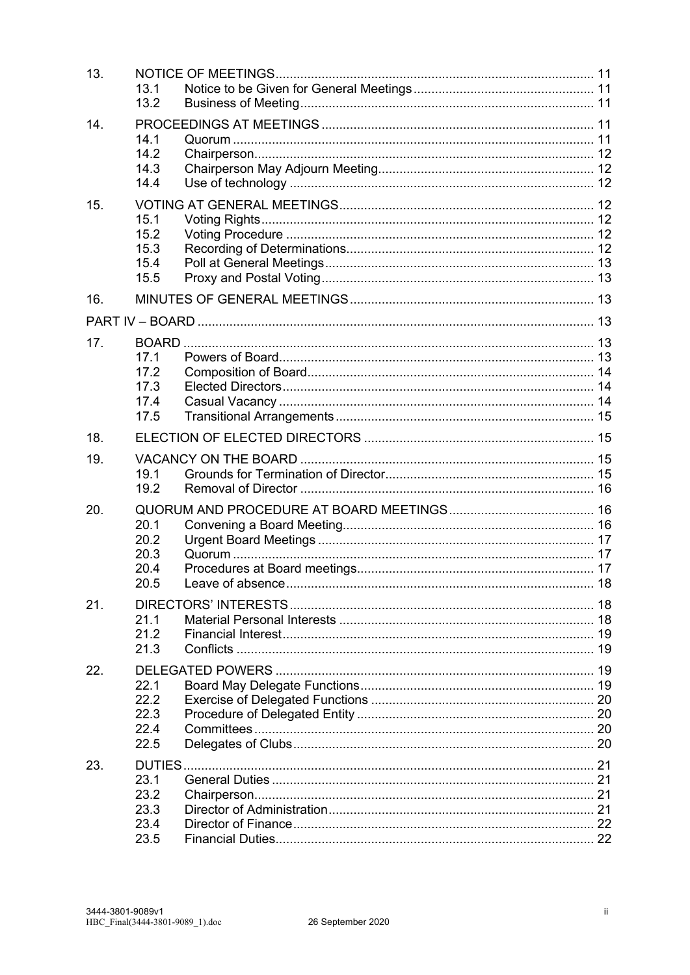| 13. | 13.1<br>13.2                                    |  |
|-----|-------------------------------------------------|--|
| 14. | 14.1<br>14.2<br>14.3<br>14.4                    |  |
| 15. | 15.1<br>15.2<br>15.3<br>15.4<br>15.5            |  |
| 16. |                                                 |  |
|     |                                                 |  |
| 17. | 17.1<br>17.2<br>17.3<br>17.4<br>17.5            |  |
| 18. |                                                 |  |
| 19. | 19.1<br>19.2                                    |  |
| 20. | 20.1<br>20.2<br>20.3<br>20.4<br>20.5            |  |
| 21. | 21.1<br>21.2<br>21.3                            |  |
| 22. | 22.1<br>22.2<br>22.3<br>22.4<br>22.5            |  |
| 23. | DUTIES.<br>23.1<br>23.2<br>23.3<br>23.4<br>23.5 |  |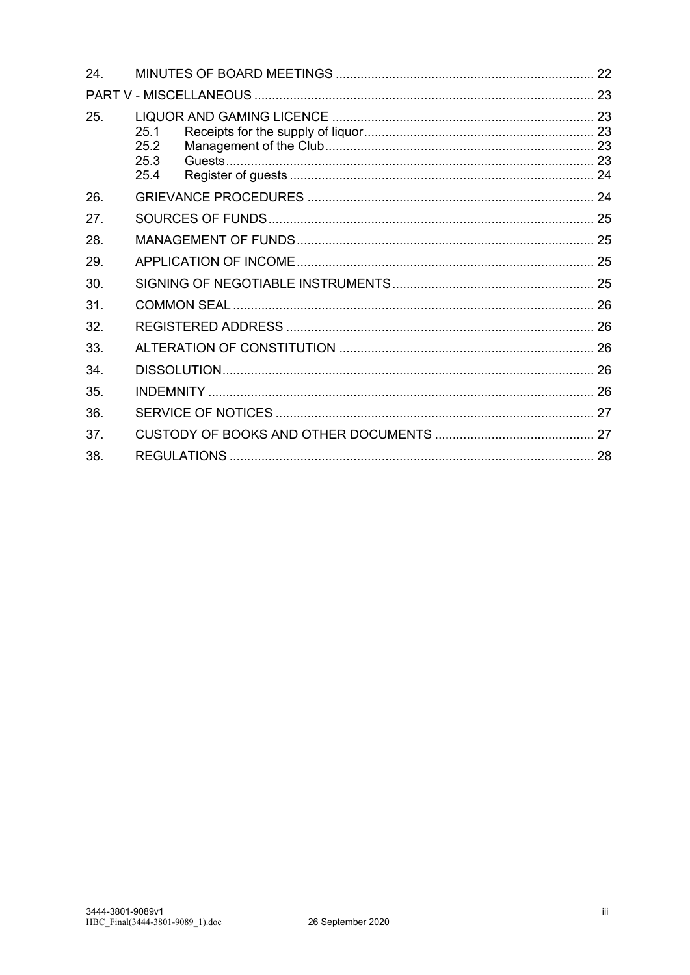| 24  |                              |  |  |  |  |
|-----|------------------------------|--|--|--|--|
|     |                              |  |  |  |  |
| 25. | 25.1<br>25.2<br>25.3<br>25.4 |  |  |  |  |
| 26. |                              |  |  |  |  |
| 27. |                              |  |  |  |  |
| 28. |                              |  |  |  |  |
| 29. |                              |  |  |  |  |
| 30. |                              |  |  |  |  |
| 31. |                              |  |  |  |  |
| 32. |                              |  |  |  |  |
| 33. |                              |  |  |  |  |
| 34. |                              |  |  |  |  |
| 35. |                              |  |  |  |  |
| 36. |                              |  |  |  |  |
| 37. |                              |  |  |  |  |
| 38. |                              |  |  |  |  |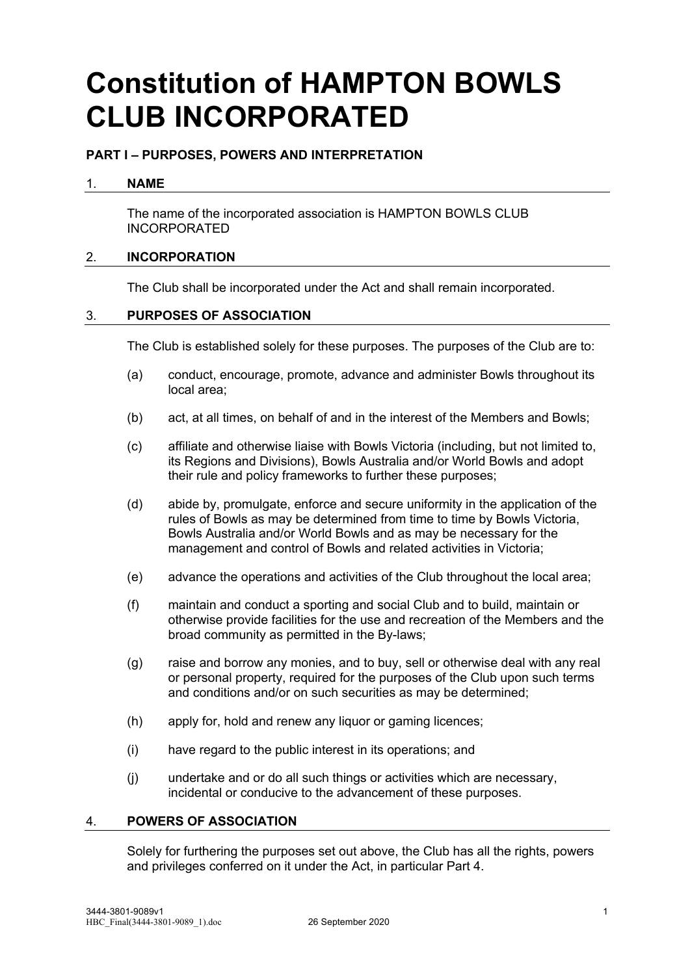# **Constitution of HAMPTON BOWLS CLUB INCORPORATED**

## **PART I – PURPOSES, POWERS AND INTERPRETATION**

#### 1. **NAME**

The name of the incorporated association is HAMPTON BOWLS CLUB INCORPORATED

#### 2. **INCORPORATION**

The Club shall be incorporated under the Act and shall remain incorporated.

#### 3. **PURPOSES OF ASSOCIATION**

The Club is established solely for these purposes. The purposes of the Club are to:

- (a) conduct, encourage, promote, advance and administer Bowls throughout its local area;
- (b) act, at all times, on behalf of and in the interest of the Members and Bowls;
- (c) affiliate and otherwise liaise with Bowls Victoria (including, but not limited to, its Regions and Divisions), Bowls Australia and/or World Bowls and adopt their rule and policy frameworks to further these purposes;
- (d) abide by, promulgate, enforce and secure uniformity in the application of the rules of Bowls as may be determined from time to time by Bowls Victoria, Bowls Australia and/or World Bowls and as may be necessary for the management and control of Bowls and related activities in Victoria;
- (e) advance the operations and activities of the Club throughout the local area;
- (f) maintain and conduct a sporting and social Club and to build, maintain or otherwise provide facilities for the use and recreation of the Members and the broad community as permitted in the By-laws;
- (g) raise and borrow any monies, and to buy, sell or otherwise deal with any real or personal property, required for the purposes of the Club upon such terms and conditions and/or on such securities as may be determined;
- (h) apply for, hold and renew any liquor or gaming licences;
- (i) have regard to the public interest in its operations; and
- (j) undertake and or do all such things or activities which are necessary, incidental or conducive to the advancement of these purposes.

### 4. **POWERS OF ASSOCIATION**

Solely for furthering the purposes set out above, the Club has all the rights, powers and privileges conferred on it under the Act, in particular Part 4.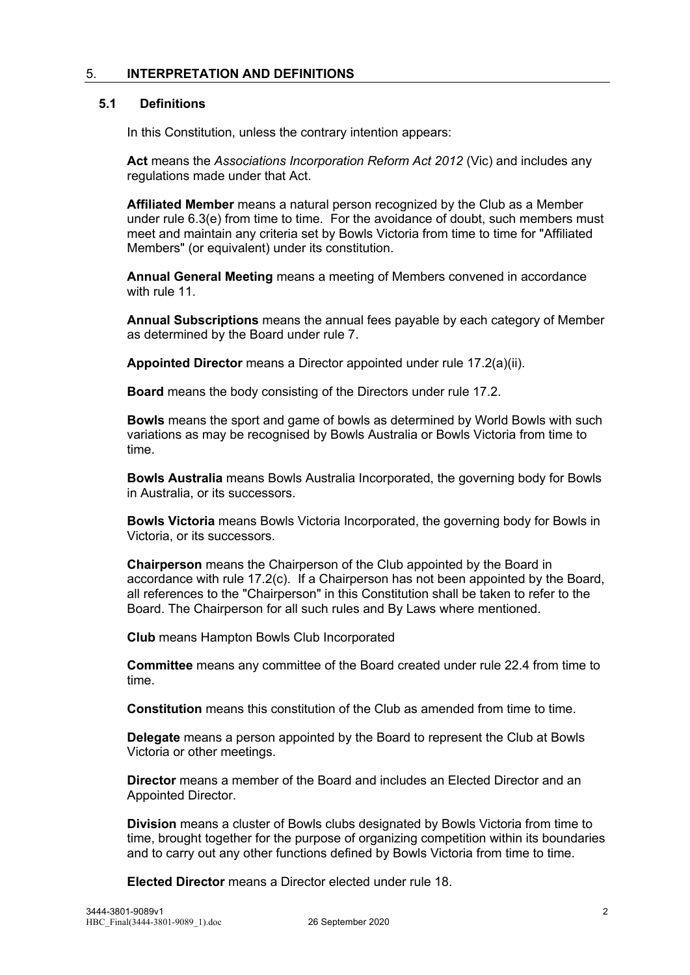## 5. **INTERPRETATION AND DEFINITIONS**

#### **5.1 Definitions**

In this Constitution, unless the contrary intention appears:

**Act** means the *Associations Incorporation Reform Act 2012* (Vic) and includes any regulations made under that Act.

**Affiliated Member** means a natural person recognized by the Club as a Member under rule 6.3(e) from time to time. For the avoidance of doubt, such members must meet and maintain any criteria set by Bowls Victoria from time to time for "Affiliated Members" (or equivalent) under its constitution.

**Annual General Meeting** means a meeting of Members convened in accordance with rule 11

**Annual Subscriptions** means the annual fees payable by each category of Member as determined by the Board under rule 7.

**Appointed Director** means a Director appointed under rule 17.2(a)(ii).

**Board** means the body consisting of the Directors under rule 17.2.

**Bowls** means the sport and game of bowls as determined by World Bowls with such variations as may be recognised by Bowls Australia or Bowls Victoria from time to time.

**Bowls Australia** means Bowls Australia Incorporated, the governing body for Bowls in Australia, or its successors.

**Bowls Victoria** means Bowls Victoria Incorporated, the governing body for Bowls in Victoria, or its successors.

**Chairperson** means the Chairperson of the Club appointed by the Board in accordance with rule 17.2(c). If a Chairperson has not been appointed by the Board, all references to the "Chairperson" in this Constitution shall be taken to refer to the Board. The Chairperson for all such rules and By Laws where mentioned.

**Club** means Hampton Bowls Club Incorporated

**Committee** means any committee of the Board created under rule 22.4 from time to time.

**Constitution** means this constitution of the Club as amended from time to time.

**Delegate** means a person appointed by the Board to represent the Club at Bowls Victoria or other meetings.

**Director** means a member of the Board and includes an Elected Director and an Appointed Director.

**Division** means a cluster of Bowls clubs designated by Bowls Victoria from time to time, brought together for the purpose of organizing competition within its boundaries and to carry out any other functions defined by Bowls Victoria from time to time.

**Elected Director** means a Director elected under rule 18.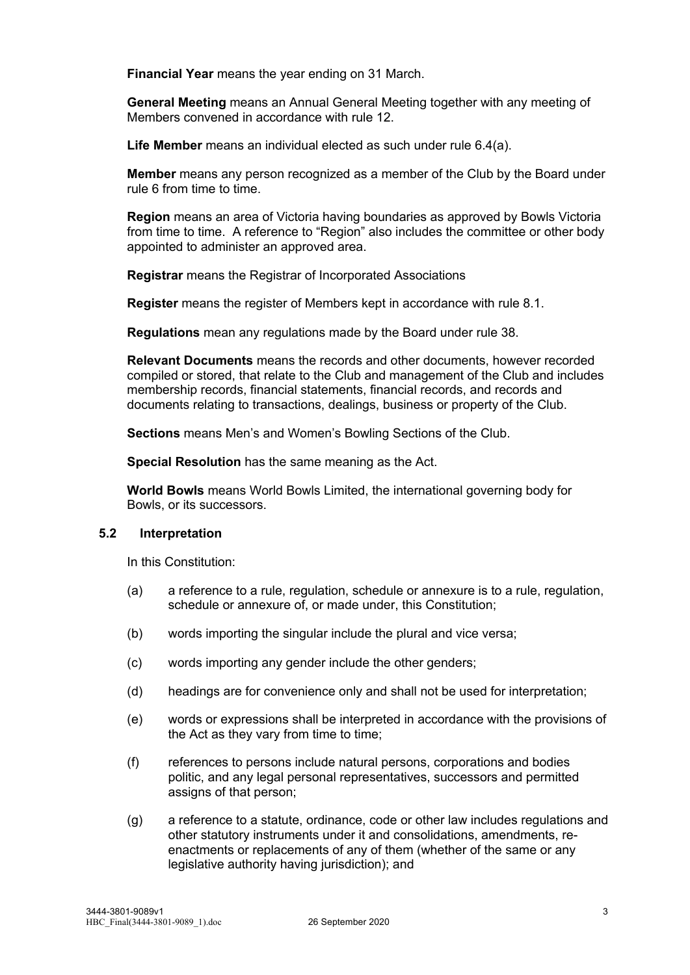**Financial Year** means the year ending on 31 March.

**General Meeting** means an Annual General Meeting together with any meeting of Members convened in accordance with rule 12.

**Life Member** means an individual elected as such under rule 6.4(a).

**Member** means any person recognized as a member of the Club by the Board under rule 6 from time to time.

**Region** means an area of Victoria having boundaries as approved by Bowls Victoria from time to time. A reference to "Region" also includes the committee or other body appointed to administer an approved area.

**Registrar** means the Registrar of Incorporated Associations

**Register** means the register of Members kept in accordance with rule 8.1.

**Regulations** mean any regulations made by the Board under rule 38.

**Relevant Documents** means the records and other documents, however recorded compiled or stored, that relate to the Club and management of the Club and includes membership records, financial statements, financial records, and records and documents relating to transactions, dealings, business or property of the Club.

**Sections** means Men's and Women's Bowling Sections of the Club.

**Special Resolution** has the same meaning as the Act.

**World Bowls** means World Bowls Limited, the international governing body for Bowls, or its successors.

#### **5.2 Interpretation**

In this Constitution:

- (a) a reference to a rule, regulation, schedule or annexure is to a rule, regulation, schedule or annexure of, or made under, this Constitution;
- (b) words importing the singular include the plural and vice versa;
- (c) words importing any gender include the other genders;
- (d) headings are for convenience only and shall not be used for interpretation;
- (e) words or expressions shall be interpreted in accordance with the provisions of the Act as they vary from time to time;
- (f) references to persons include natural persons, corporations and bodies politic, and any legal personal representatives, successors and permitted assigns of that person;
- (g) a reference to a statute, ordinance, code or other law includes regulations and other statutory instruments under it and consolidations, amendments, reenactments or replacements of any of them (whether of the same or any legislative authority having jurisdiction); and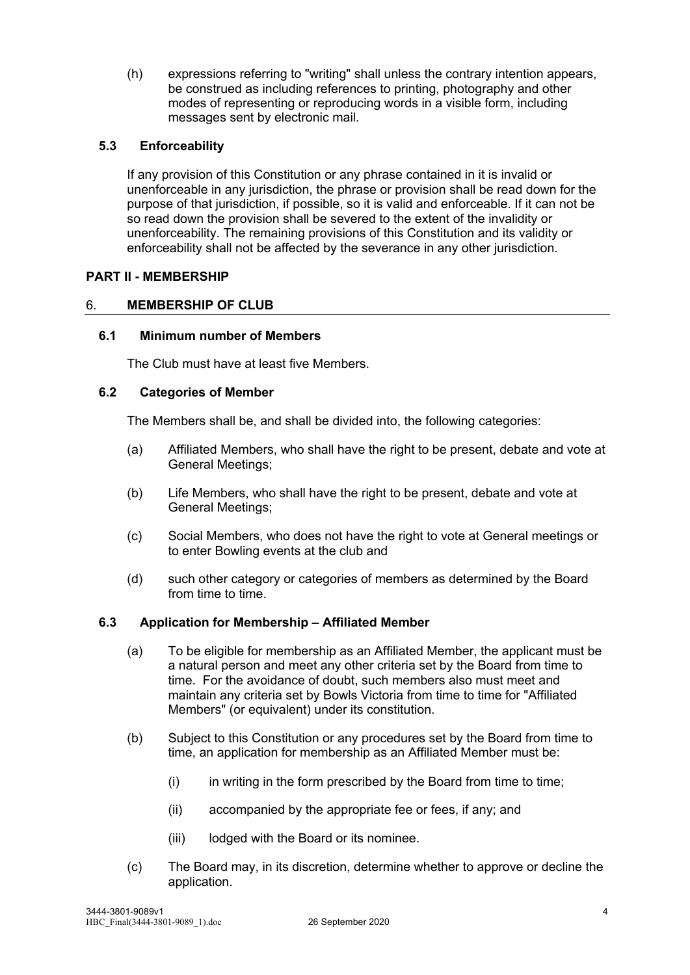(h) expressions referring to "writing" shall unless the contrary intention appears, be construed as including references to printing, photography and other modes of representing or reproducing words in a visible form, including messages sent by electronic mail.

## **5.3 Enforceability**

If any provision of this Constitution or any phrase contained in it is invalid or unenforceable in any jurisdiction, the phrase or provision shall be read down for the purpose of that jurisdiction, if possible, so it is valid and enforceable. If it can not be so read down the provision shall be severed to the extent of the invalidity or unenforceability. The remaining provisions of this Constitution and its validity or enforceability shall not be affected by the severance in any other jurisdiction.

#### **PART II - MEMBERSHIP**

#### 6. **MEMBERSHIP OF CLUB**

#### **6.1 Minimum number of Members**

The Club must have at least five Members.

#### **6.2 Categories of Member**

The Members shall be, and shall be divided into, the following categories:

- (a) Affiliated Members, who shall have the right to be present, debate and vote at General Meetings;
- (b) Life Members, who shall have the right to be present, debate and vote at General Meetings;
- (c) Social Members, who does not have the right to vote at General meetings or to enter Bowling events at the club and
- (d) such other category or categories of members as determined by the Board from time to time.

## **6.3 Application for Membership – Affiliated Member**

- (a) To be eligible for membership as an Affiliated Member, the applicant must be a natural person and meet any other criteria set by the Board from time to time. For the avoidance of doubt, such members also must meet and maintain any criteria set by Bowls Victoria from time to time for "Affiliated Members" (or equivalent) under its constitution.
- (b) Subject to this Constitution or any procedures set by the Board from time to time, an application for membership as an Affiliated Member must be:
	- $(i)$  in writing in the form prescribed by the Board from time to time;
	- (ii) accompanied by the appropriate fee or fees, if any; and
	- (iii) lodged with the Board or its nominee.
- (c) The Board may, in its discretion, determine whether to approve or decline the application.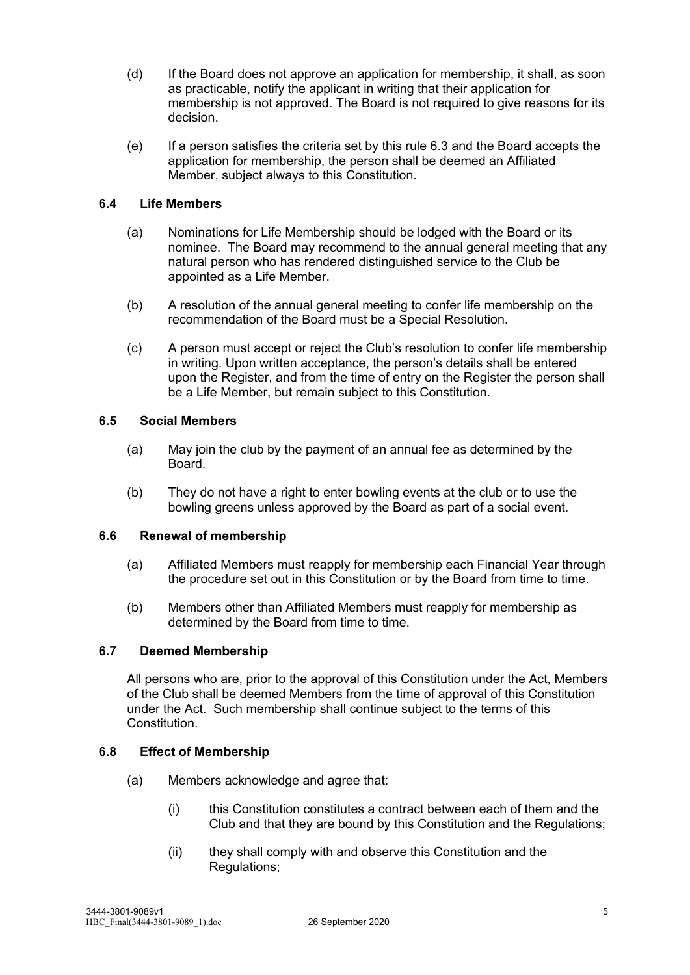- (d) If the Board does not approve an application for membership, it shall, as soon as practicable, notify the applicant in writing that their application for membership is not approved. The Board is not required to give reasons for its decision.
- (e) If a person satisfies the criteria set by this rule 6.3 and the Board accepts the application for membership, the person shall be deemed an Affiliated Member, subject always to this Constitution.

## **6.4 Life Members**

- (a) Nominations for Life Membership should be lodged with the Board or its nominee. The Board may recommend to the annual general meeting that any natural person who has rendered distinguished service to the Club be appointed as a Life Member.
- (b) A resolution of the annual general meeting to confer life membership on the recommendation of the Board must be a Special Resolution.
- (c) A person must accept or reject the Club's resolution to confer life membership in writing. Upon written acceptance, the person's details shall be entered upon the Register, and from the time of entry on the Register the person shall be a Life Member, but remain subject to this Constitution.

## **6.5 Social Members**

- (a) May join the club by the payment of an annual fee as determined by the Board.
- (b) They do not have a right to enter bowling events at the club or to use the bowling greens unless approved by the Board as part of a social event.

## **6.6 Renewal of membership**

- (a) Affiliated Members must reapply for membership each Financial Year through the procedure set out in this Constitution or by the Board from time to time.
- (b) Members other than Affiliated Members must reapply for membership as determined by the Board from time to time.

#### **6.7 Deemed Membership**

All persons who are, prior to the approval of this Constitution under the Act, Members of the Club shall be deemed Members from the time of approval of this Constitution under the Act. Such membership shall continue subject to the terms of this **Constitution** 

## **6.8 Effect of Membership**

- (a) Members acknowledge and agree that:
	- (i) this Constitution constitutes a contract between each of them and the Club and that they are bound by this Constitution and the Regulations;
	- (ii) they shall comply with and observe this Constitution and the Regulations;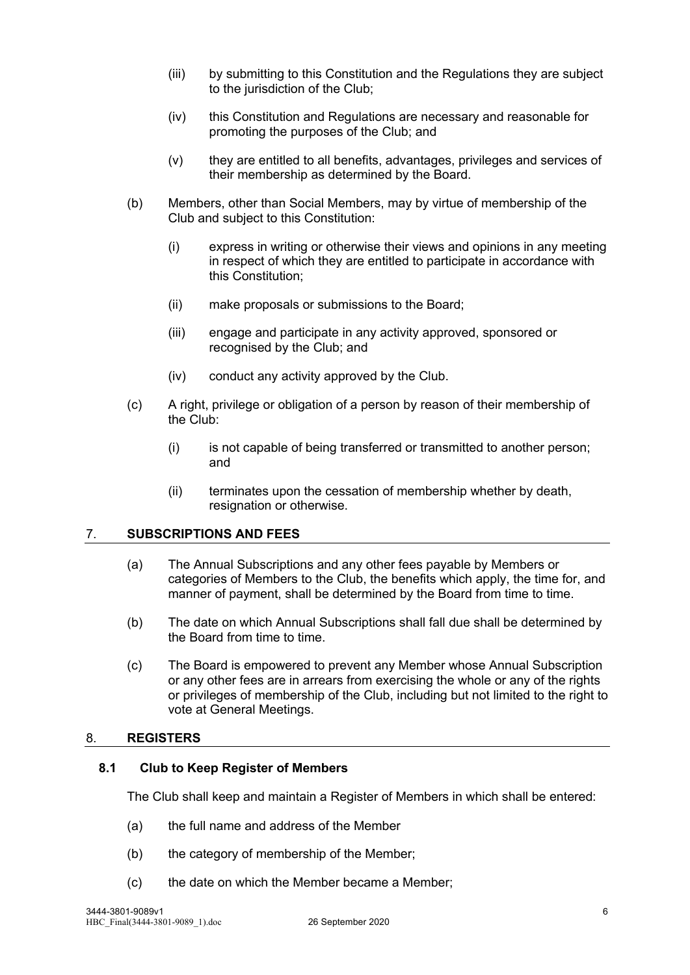- (iii) by submitting to this Constitution and the Regulations they are subject to the jurisdiction of the Club;
- (iv) this Constitution and Regulations are necessary and reasonable for promoting the purposes of the Club; and
- (v) they are entitled to all benefits, advantages, privileges and services of their membership as determined by the Board.
- (b) Members, other than Social Members, may by virtue of membership of the Club and subject to this Constitution:
	- (i) express in writing or otherwise their views and opinions in any meeting in respect of which they are entitled to participate in accordance with this Constitution;
	- (ii) make proposals or submissions to the Board;
	- (iii) engage and participate in any activity approved, sponsored or recognised by the Club; and
	- (iv) conduct any activity approved by the Club.
- (c) A right, privilege or obligation of a person by reason of their membership of the Club:
	- (i) is not capable of being transferred or transmitted to another person; and
	- (ii) terminates upon the cessation of membership whether by death, resignation or otherwise.

## 7. **SUBSCRIPTIONS AND FEES**

- (a) The Annual Subscriptions and any other fees payable by Members or categories of Members to the Club, the benefits which apply, the time for, and manner of payment, shall be determined by the Board from time to time.
- (b) The date on which Annual Subscriptions shall fall due shall be determined by the Board from time to time.
- (c) The Board is empowered to prevent any Member whose Annual Subscription or any other fees are in arrears from exercising the whole or any of the rights or privileges of membership of the Club, including but not limited to the right to vote at General Meetings.

## 8. **REGISTERS**

## **8.1 Club to Keep Register of Members**

The Club shall keep and maintain a Register of Members in which shall be entered:

- (a) the full name and address of the Member
- (b) the category of membership of the Member;
- (c) the date on which the Member became a Member;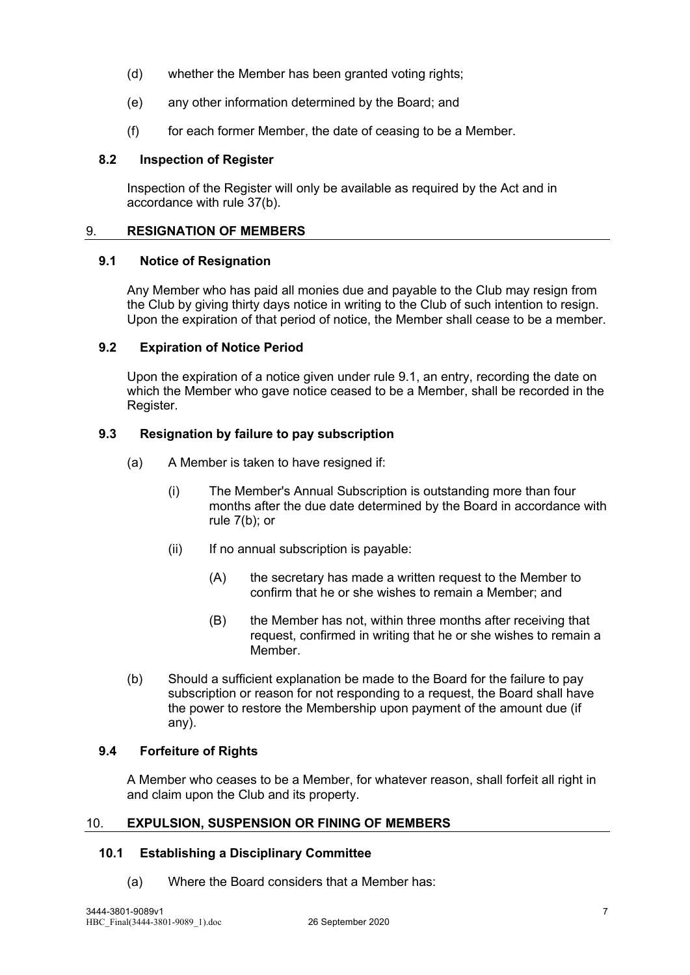- (d) whether the Member has been granted voting rights;
- (e) any other information determined by the Board; and
- (f) for each former Member, the date of ceasing to be a Member.

## **8.2 Inspection of Register**

Inspection of the Register will only be available as required by the Act and in accordance with rule 37(b).

## 9. **RESIGNATION OF MEMBERS**

## **9.1 Notice of Resignation**

Any Member who has paid all monies due and payable to the Club may resign from the Club by giving thirty days notice in writing to the Club of such intention to resign. Upon the expiration of that period of notice, the Member shall cease to be a member.

## **9.2 Expiration of Notice Period**

Upon the expiration of a notice given under rule 9.1, an entry, recording the date on which the Member who gave notice ceased to be a Member, shall be recorded in the Register.

## **9.3 Resignation by failure to pay subscription**

- (a) A Member is taken to have resigned if:
	- (i) The Member's Annual Subscription is outstanding more than four months after the due date determined by the Board in accordance with rule 7(b); or
	- (ii) If no annual subscription is payable:
		- (A) the secretary has made a written request to the Member to confirm that he or she wishes to remain a Member; and
		- (B) the Member has not, within three months after receiving that request, confirmed in writing that he or she wishes to remain a Member.
- (b) Should a sufficient explanation be made to the Board for the failure to pay subscription or reason for not responding to a request, the Board shall have the power to restore the Membership upon payment of the amount due (if any).

## **9.4 Forfeiture of Rights**

A Member who ceases to be a Member, for whatever reason, shall forfeit all right in and claim upon the Club and its property.

## 10. **EXPULSION, SUSPENSION OR FINING OF MEMBERS**

## **10.1 Establishing a Disciplinary Committee**

(a) Where the Board considers that a Member has: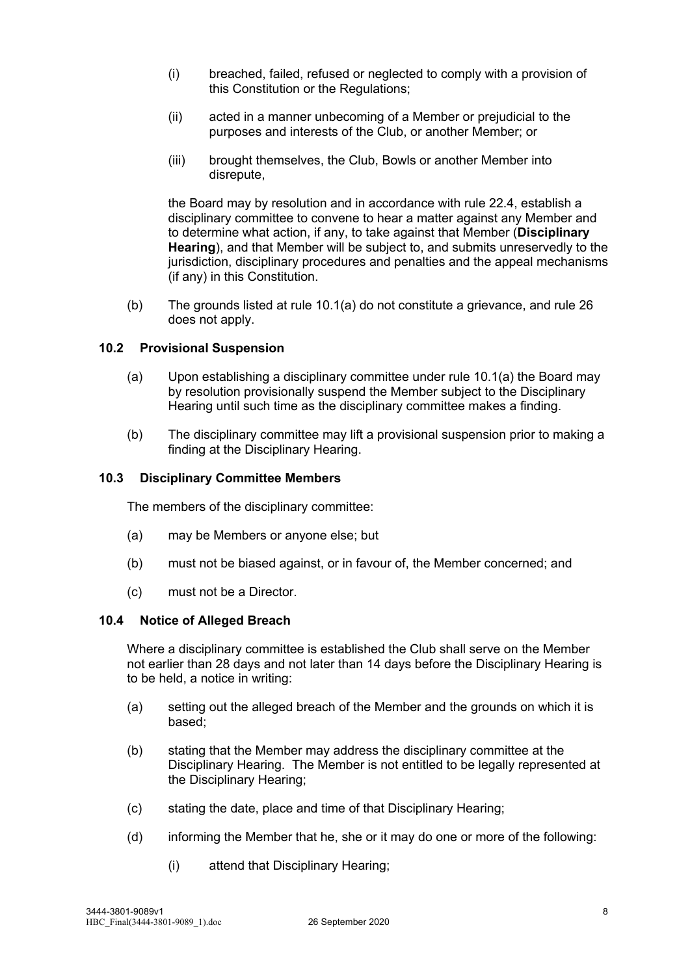- (i) breached, failed, refused or neglected to comply with a provision of this Constitution or the Regulations;
- (ii) acted in a manner unbecoming of a Member or prejudicial to the purposes and interests of the Club, or another Member; or
- (iii) brought themselves, the Club, Bowls or another Member into disrepute,

the Board may by resolution and in accordance with rule 22.4, establish a disciplinary committee to convene to hear a matter against any Member and to determine what action, if any, to take against that Member (**Disciplinary Hearing**), and that Member will be subject to, and submits unreservedly to the jurisdiction, disciplinary procedures and penalties and the appeal mechanisms (if any) in this Constitution.

(b) The grounds listed at rule 10.1(a) do not constitute a grievance, and rule 26 does not apply.

## **10.2 Provisional Suspension**

- (a) Upon establishing a disciplinary committee under rule 10.1(a) the Board may by resolution provisionally suspend the Member subject to the Disciplinary Hearing until such time as the disciplinary committee makes a finding.
- (b) The disciplinary committee may lift a provisional suspension prior to making a finding at the Disciplinary Hearing.

#### **10.3 Disciplinary Committee Members**

The members of the disciplinary committee:

- (a) may be Members or anyone else; but
- (b) must not be biased against, or in favour of, the Member concerned; and
- (c) must not be a Director.

#### **10.4 Notice of Alleged Breach**

Where a disciplinary committee is established the Club shall serve on the Member not earlier than 28 days and not later than 14 days before the Disciplinary Hearing is to be held, a notice in writing:

- (a) setting out the alleged breach of the Member and the grounds on which it is based;
- (b) stating that the Member may address the disciplinary committee at the Disciplinary Hearing. The Member is not entitled to be legally represented at the Disciplinary Hearing;
- (c) stating the date, place and time of that Disciplinary Hearing;
- (d) informing the Member that he, she or it may do one or more of the following:
	- (i) attend that Disciplinary Hearing;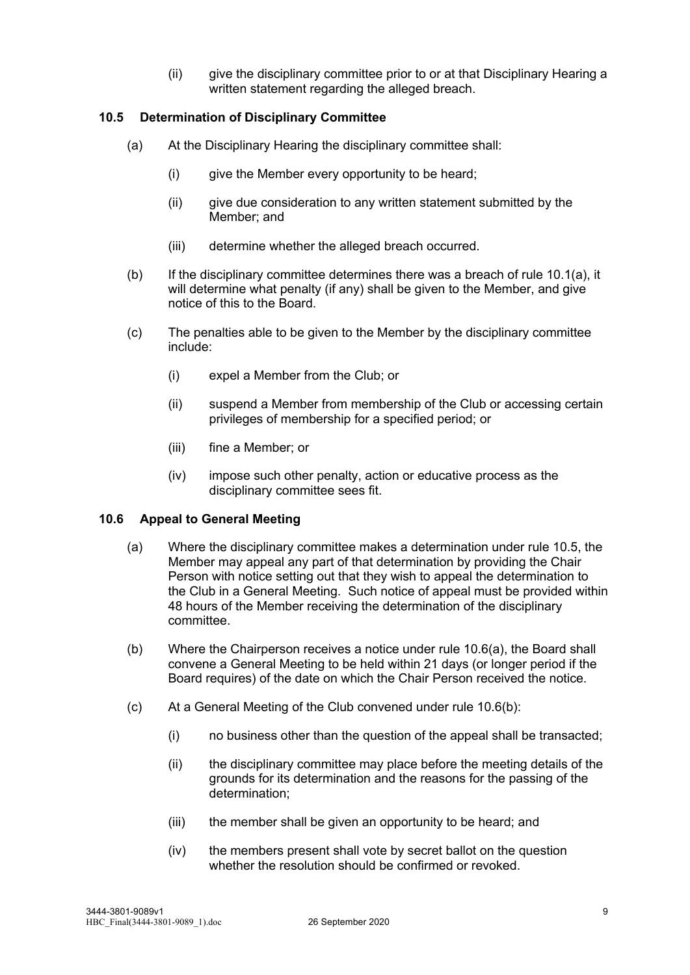(ii) give the disciplinary committee prior to or at that Disciplinary Hearing a written statement regarding the alleged breach.

## **10.5 Determination of Disciplinary Committee**

- (a) At the Disciplinary Hearing the disciplinary committee shall:
	- (i) give the Member every opportunity to be heard;
	- (ii) give due consideration to any written statement submitted by the Member; and
	- (iii) determine whether the alleged breach occurred.
- (b) If the disciplinary committee determines there was a breach of rule 10.1(a), it will determine what penalty (if any) shall be given to the Member, and give notice of this to the Board.
- (c) The penalties able to be given to the Member by the disciplinary committee include:
	- (i) expel a Member from the Club; or
	- (ii) suspend a Member from membership of the Club or accessing certain privileges of membership for a specified period; or
	- (iii) fine a Member; or
	- (iv) impose such other penalty, action or educative process as the disciplinary committee sees fit.

#### **10.6 Appeal to General Meeting**

- (a) Where the disciplinary committee makes a determination under rule 10.5, the Member may appeal any part of that determination by providing the Chair Person with notice setting out that they wish to appeal the determination to the Club in a General Meeting. Such notice of appeal must be provided within 48 hours of the Member receiving the determination of the disciplinary committee.
- (b) Where the Chairperson receives a notice under rule 10.6(a), the Board shall convene a General Meeting to be held within 21 days (or longer period if the Board requires) of the date on which the Chair Person received the notice.
- (c) At a General Meeting of the Club convened under rule 10.6(b):
	- (i) no business other than the question of the appeal shall be transacted;
	- (ii) the disciplinary committee may place before the meeting details of the grounds for its determination and the reasons for the passing of the determination;
	- (iii) the member shall be given an opportunity to be heard; and
	- (iv) the members present shall vote by secret ballot on the question whether the resolution should be confirmed or revoked.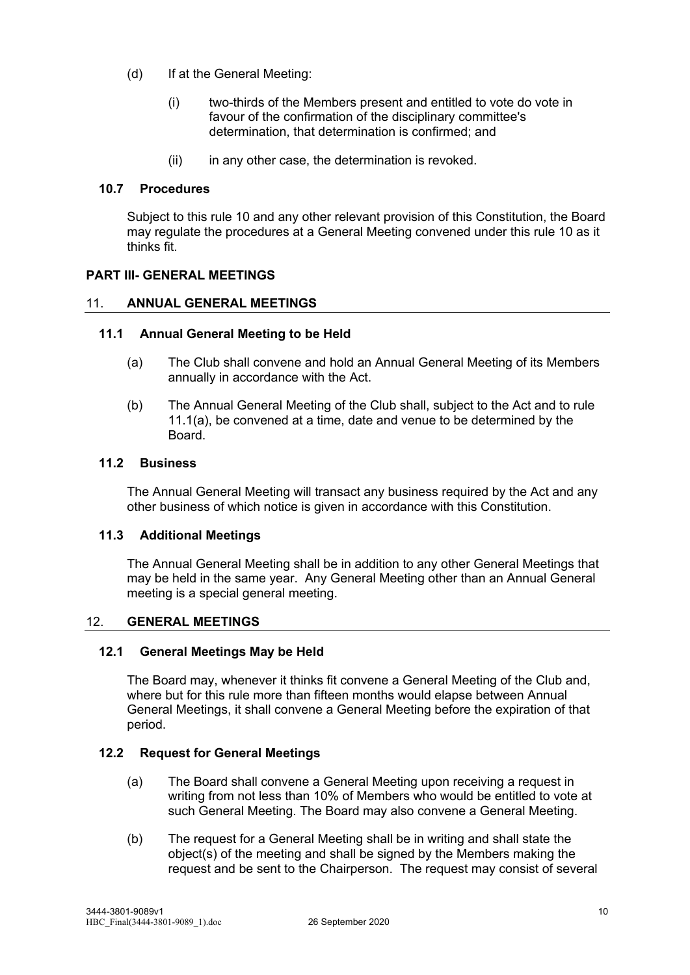- (d) If at the General Meeting:
	- (i) two-thirds of the Members present and entitled to vote do vote in favour of the confirmation of the disciplinary committee's determination, that determination is confirmed; and
	- (ii) in any other case, the determination is revoked.

## **10.7 Procedures**

Subject to this rule 10 and any other relevant provision of this Constitution, the Board may regulate the procedures at a General Meeting convened under this rule 10 as it thinks fit.

## **PART III- GENERAL MEETINGS**

## 11. **ANNUAL GENERAL MEETINGS**

## **11.1 Annual General Meeting to be Held**

- (a) The Club shall convene and hold an Annual General Meeting of its Members annually in accordance with the Act.
- (b) The Annual General Meeting of the Club shall, subject to the Act and to rule 11.1(a), be convened at a time, date and venue to be determined by the Board.

## **11.2 Business**

The Annual General Meeting will transact any business required by the Act and any other business of which notice is given in accordance with this Constitution.

## **11.3 Additional Meetings**

The Annual General Meeting shall be in addition to any other General Meetings that may be held in the same year. Any General Meeting other than an Annual General meeting is a special general meeting.

## 12. **GENERAL MEETINGS**

## **12.1 General Meetings May be Held**

The Board may, whenever it thinks fit convene a General Meeting of the Club and, where but for this rule more than fifteen months would elapse between Annual General Meetings, it shall convene a General Meeting before the expiration of that period.

## **12.2 Request for General Meetings**

- (a) The Board shall convene a General Meeting upon receiving a request in writing from not less than 10% of Members who would be entitled to vote at such General Meeting. The Board may also convene a General Meeting.
- (b) The request for a General Meeting shall be in writing and shall state the object(s) of the meeting and shall be signed by the Members making the request and be sent to the Chairperson. The request may consist of several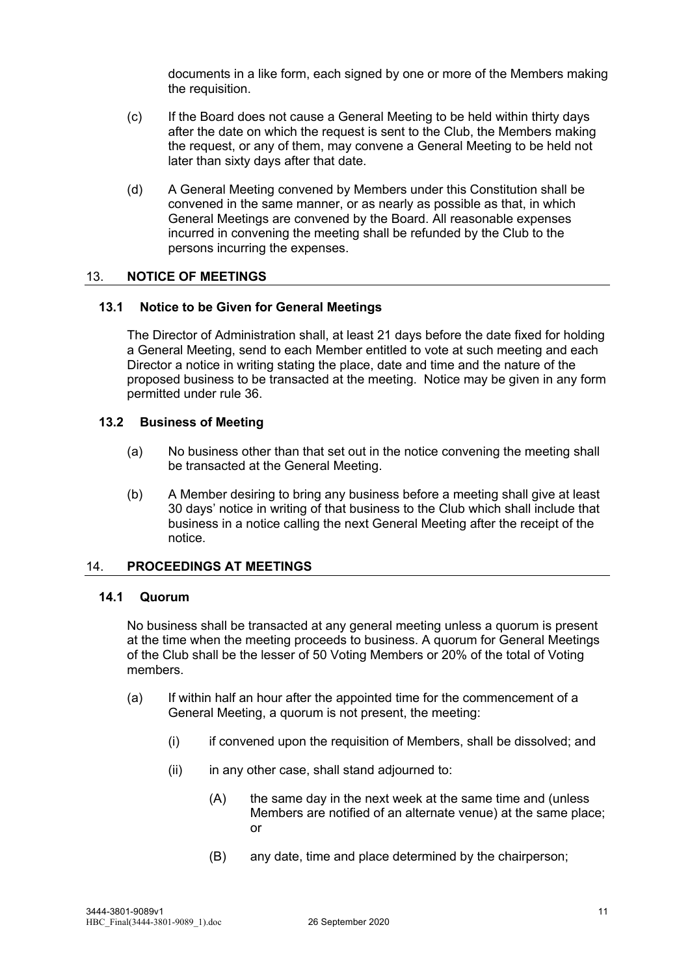documents in a like form, each signed by one or more of the Members making the requisition.

- (c) If the Board does not cause a General Meeting to be held within thirty days after the date on which the request is sent to the Club, the Members making the request, or any of them, may convene a General Meeting to be held not later than sixty days after that date.
- (d) A General Meeting convened by Members under this Constitution shall be convened in the same manner, or as nearly as possible as that, in which General Meetings are convened by the Board. All reasonable expenses incurred in convening the meeting shall be refunded by the Club to the persons incurring the expenses.

## 13. **NOTICE OF MEETINGS**

## **13.1 Notice to be Given for General Meetings**

The Director of Administration shall, at least 21 days before the date fixed for holding a General Meeting, send to each Member entitled to vote at such meeting and each Director a notice in writing stating the place, date and time and the nature of the proposed business to be transacted at the meeting. Notice may be given in any form permitted under rule 36.

#### **13.2 Business of Meeting**

- (a) No business other than that set out in the notice convening the meeting shall be transacted at the General Meeting.
- (b) A Member desiring to bring any business before a meeting shall give at least 30 days' notice in writing of that business to the Club which shall include that business in a notice calling the next General Meeting after the receipt of the notice.

#### 14. **PROCEEDINGS AT MEETINGS**

#### **14.1 Quorum**

No business shall be transacted at any general meeting unless a quorum is present at the time when the meeting proceeds to business. A quorum for General Meetings of the Club shall be the lesser of 50 Voting Members or 20% of the total of Voting members.

- (a) If within half an hour after the appointed time for the commencement of a General Meeting, a quorum is not present, the meeting:
	- (i) if convened upon the requisition of Members, shall be dissolved; and
	- (ii) in any other case, shall stand adjourned to:
		- (A) the same day in the next week at the same time and (unless Members are notified of an alternate venue) at the same place; or
		- (B) any date, time and place determined by the chairperson;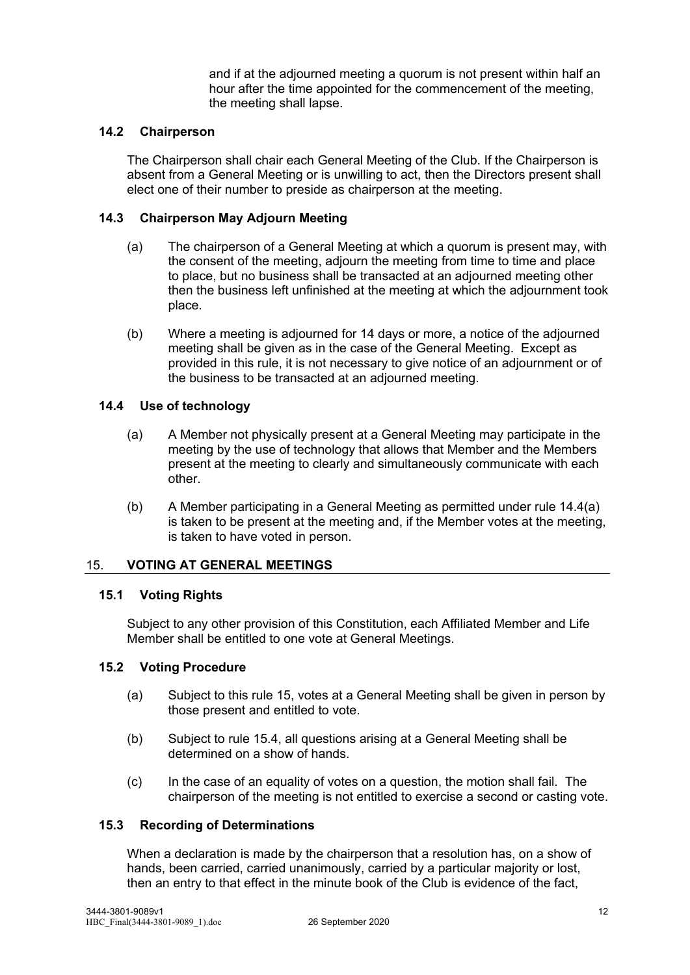and if at the adjourned meeting a quorum is not present within half an hour after the time appointed for the commencement of the meeting, the meeting shall lapse.

## **14.2 Chairperson**

The Chairperson shall chair each General Meeting of the Club. If the Chairperson is absent from a General Meeting or is unwilling to act, then the Directors present shall elect one of their number to preside as chairperson at the meeting.

#### **14.3 Chairperson May Adjourn Meeting**

- (a) The chairperson of a General Meeting at which a quorum is present may, with the consent of the meeting, adjourn the meeting from time to time and place to place, but no business shall be transacted at an adjourned meeting other then the business left unfinished at the meeting at which the adjournment took place.
- (b) Where a meeting is adjourned for 14 days or more, a notice of the adjourned meeting shall be given as in the case of the General Meeting. Except as provided in this rule, it is not necessary to give notice of an adjournment or of the business to be transacted at an adjourned meeting.

#### **14.4 Use of technology**

- (a) A Member not physically present at a General Meeting may participate in the meeting by the use of technology that allows that Member and the Members present at the meeting to clearly and simultaneously communicate with each other.
- (b) A Member participating in a General Meeting as permitted under rule 14.4(a) is taken to be present at the meeting and, if the Member votes at the meeting, is taken to have voted in person.

#### 15. **VOTING AT GENERAL MEETINGS**

#### **15.1 Voting Rights**

Subject to any other provision of this Constitution, each Affiliated Member and Life Member shall be entitled to one vote at General Meetings.

#### **15.2 Voting Procedure**

- (a) Subject to this rule 15, votes at a General Meeting shall be given in person by those present and entitled to vote.
- (b) Subject to rule 15.4, all questions arising at a General Meeting shall be determined on a show of hands.
- (c) In the case of an equality of votes on a question, the motion shall fail. The chairperson of the meeting is not entitled to exercise a second or casting vote.

#### **15.3 Recording of Determinations**

When a declaration is made by the chairperson that a resolution has, on a show of hands, been carried, carried unanimously, carried by a particular majority or lost, then an entry to that effect in the minute book of the Club is evidence of the fact,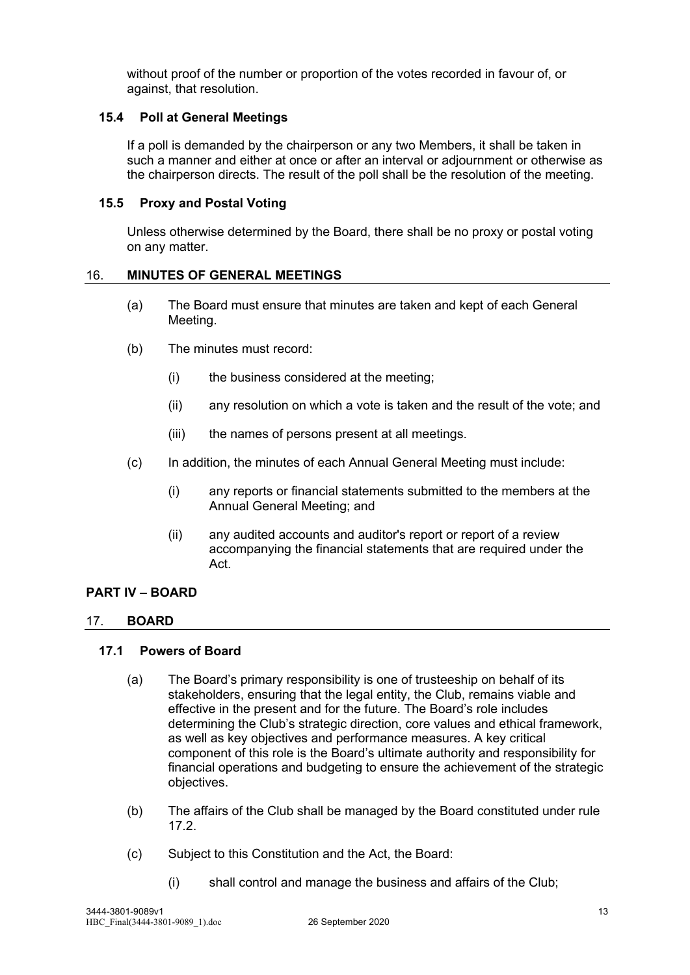without proof of the number or proportion of the votes recorded in favour of, or against, that resolution.

## **15.4 Poll at General Meetings**

If a poll is demanded by the chairperson or any two Members, it shall be taken in such a manner and either at once or after an interval or adjournment or otherwise as the chairperson directs. The result of the poll shall be the resolution of the meeting.

#### **15.5 Proxy and Postal Voting**

Unless otherwise determined by the Board, there shall be no proxy or postal voting on any matter.

#### 16. **MINUTES OF GENERAL MEETINGS**

- (a) The Board must ensure that minutes are taken and kept of each General Meeting.
- (b) The minutes must record:
	- (i) the business considered at the meeting;
	- (ii) any resolution on which a vote is taken and the result of the vote; and
	- (iii) the names of persons present at all meetings.
- (c) In addition, the minutes of each Annual General Meeting must include:
	- (i) any reports or financial statements submitted to the members at the Annual General Meeting; and
	- (ii) any audited accounts and auditor's report or report of a review accompanying the financial statements that are required under the Act.

## **PART IV – BOARD**

#### 17. **BOARD**

#### **17.1 Powers of Board**

- (a) The Board's primary responsibility is one of trusteeship on behalf of its stakeholders, ensuring that the legal entity, the Club, remains viable and effective in the present and for the future. The Board's role includes determining the Club's strategic direction, core values and ethical framework, as well as key objectives and performance measures. A key critical component of this role is the Board's ultimate authority and responsibility for financial operations and budgeting to ensure the achievement of the strategic objectives.
- (b) The affairs of the Club shall be managed by the Board constituted under rule 17.2.
- (c) Subject to this Constitution and the Act, the Board:
	- (i) shall control and manage the business and affairs of the Club;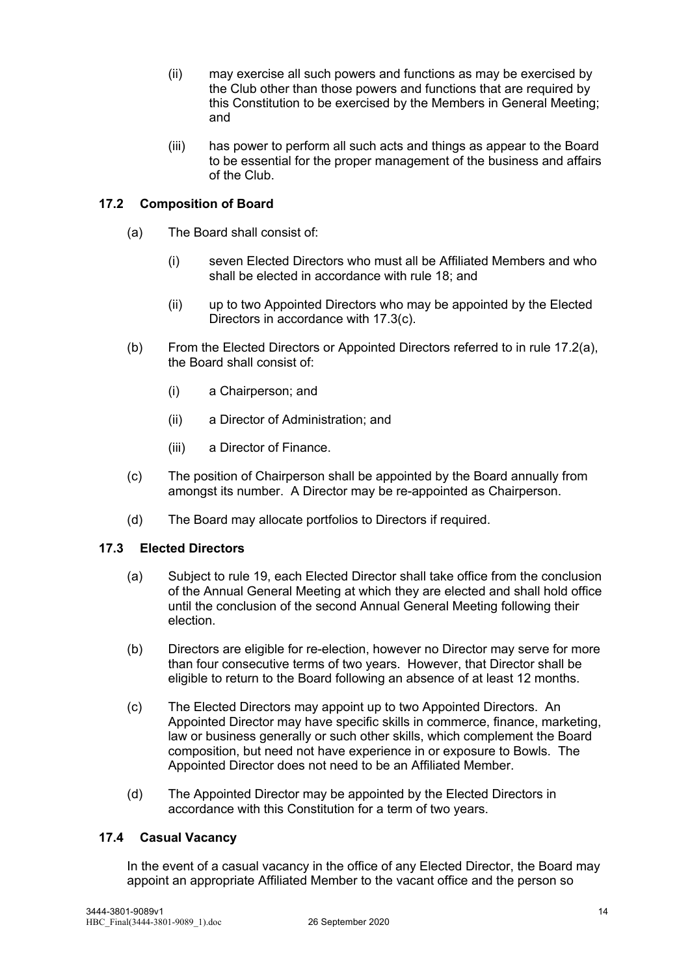- (ii) may exercise all such powers and functions as may be exercised by the Club other than those powers and functions that are required by this Constitution to be exercised by the Members in General Meeting; and
- (iii) has power to perform all such acts and things as appear to the Board to be essential for the proper management of the business and affairs of the Club.

## **17.2 Composition of Board**

- (a) The Board shall consist of:
	- (i) seven Elected Directors who must all be Affiliated Members and who shall be elected in accordance with rule 18; and
	- (ii) up to two Appointed Directors who may be appointed by the Elected Directors in accordance with 17.3(c).
- (b) From the Elected Directors or Appointed Directors referred to in rule 17.2(a), the Board shall consist of:
	- (i) a Chairperson; and
	- (ii) a Director of Administration; and
	- (iii) a Director of Finance.
- (c) The position of Chairperson shall be appointed by the Board annually from amongst its number. A Director may be re-appointed as Chairperson.
- (d) The Board may allocate portfolios to Directors if required.

## **17.3 Elected Directors**

- (a) Subject to rule 19, each Elected Director shall take office from the conclusion of the Annual General Meeting at which they are elected and shall hold office until the conclusion of the second Annual General Meeting following their election.
- (b) Directors are eligible for re-election, however no Director may serve for more than four consecutive terms of two years. However, that Director shall be eligible to return to the Board following an absence of at least 12 months.
- (c) The Elected Directors may appoint up to two Appointed Directors. An Appointed Director may have specific skills in commerce, finance, marketing, law or business generally or such other skills, which complement the Board composition, but need not have experience in or exposure to Bowls. The Appointed Director does not need to be an Affiliated Member.
- (d) The Appointed Director may be appointed by the Elected Directors in accordance with this Constitution for a term of two years.

## **17.4 Casual Vacancy**

In the event of a casual vacancy in the office of any Elected Director, the Board may appoint an appropriate Affiliated Member to the vacant office and the person so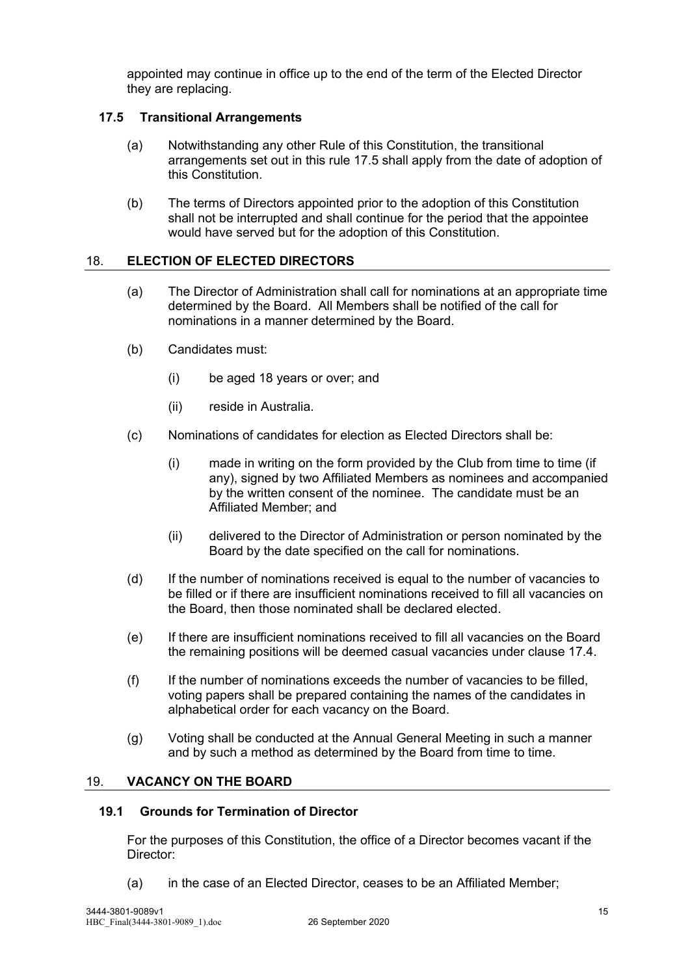appointed may continue in office up to the end of the term of the Elected Director they are replacing.

## **17.5 Transitional Arrangements**

- (a) Notwithstanding any other Rule of this Constitution, the transitional arrangements set out in this rule 17.5 shall apply from the date of adoption of this Constitution.
- (b) The terms of Directors appointed prior to the adoption of this Constitution shall not be interrupted and shall continue for the period that the appointee would have served but for the adoption of this Constitution.

## 18. **ELECTION OF ELECTED DIRECTORS**

- (a) The Director of Administration shall call for nominations at an appropriate time determined by the Board. All Members shall be notified of the call for nominations in a manner determined by the Board.
- (b) Candidates must:
	- (i) be aged 18 years or over; and
	- (ii) reside in Australia.
- (c) Nominations of candidates for election as Elected Directors shall be:
	- (i) made in writing on the form provided by the Club from time to time (if any), signed by two Affiliated Members as nominees and accompanied by the written consent of the nominee. The candidate must be an Affiliated Member; and
	- (ii) delivered to the Director of Administration or person nominated by the Board by the date specified on the call for nominations.
- (d) If the number of nominations received is equal to the number of vacancies to be filled or if there are insufficient nominations received to fill all vacancies on the Board, then those nominated shall be declared elected.
- (e) If there are insufficient nominations received to fill all vacancies on the Board the remaining positions will be deemed casual vacancies under clause 17.4.
- (f) If the number of nominations exceeds the number of vacancies to be filled, voting papers shall be prepared containing the names of the candidates in alphabetical order for each vacancy on the Board.
- (g) Voting shall be conducted at the Annual General Meeting in such a manner and by such a method as determined by the Board from time to time.

## 19. **VACANCY ON THE BOARD**

## **19.1 Grounds for Termination of Director**

For the purposes of this Constitution, the office of a Director becomes vacant if the Director:

(a) in the case of an Elected Director, ceases to be an Affiliated Member;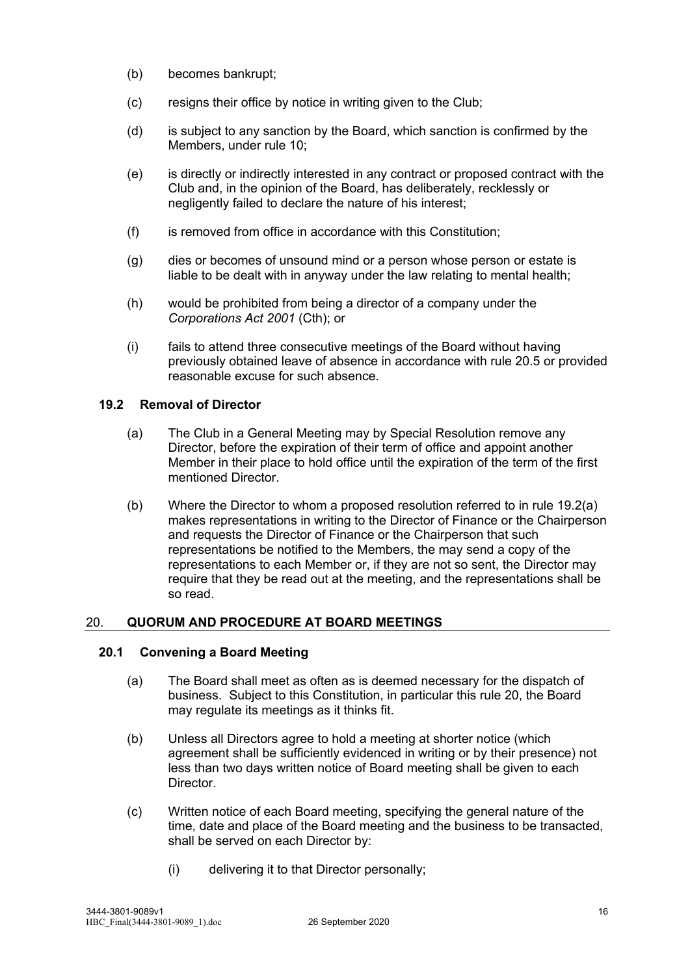- (b) becomes bankrupt;
- (c) resigns their office by notice in writing given to the Club;
- (d) is subject to any sanction by the Board, which sanction is confirmed by the Members, under rule 10;
- (e) is directly or indirectly interested in any contract or proposed contract with the Club and, in the opinion of the Board, has deliberately, recklessly or negligently failed to declare the nature of his interest;
- (f) is removed from office in accordance with this Constitution;
- (g) dies or becomes of unsound mind or a person whose person or estate is liable to be dealt with in anyway under the law relating to mental health;
- (h) would be prohibited from being a director of a company under the *Corporations Act 2001* (Cth); or
- (i) fails to attend three consecutive meetings of the Board without having previously obtained leave of absence in accordance with rule 20.5 or provided reasonable excuse for such absence.

## **19.2 Removal of Director**

- (a) The Club in a General Meeting may by Special Resolution remove any Director, before the expiration of their term of office and appoint another Member in their place to hold office until the expiration of the term of the first mentioned Director.
- (b) Where the Director to whom a proposed resolution referred to in rule 19.2(a) makes representations in writing to the Director of Finance or the Chairperson and requests the Director of Finance or the Chairperson that such representations be notified to the Members, the may send a copy of the representations to each Member or, if they are not so sent, the Director may require that they be read out at the meeting, and the representations shall be so read.

## 20. **QUORUM AND PROCEDURE AT BOARD MEETINGS**

#### **20.1 Convening a Board Meeting**

- (a) The Board shall meet as often as is deemed necessary for the dispatch of business. Subject to this Constitution, in particular this rule 20, the Board may regulate its meetings as it thinks fit.
- (b) Unless all Directors agree to hold a meeting at shorter notice (which agreement shall be sufficiently evidenced in writing or by their presence) not less than two days written notice of Board meeting shall be given to each **Director**
- (c) Written notice of each Board meeting, specifying the general nature of the time, date and place of the Board meeting and the business to be transacted, shall be served on each Director by:
	- (i) delivering it to that Director personally;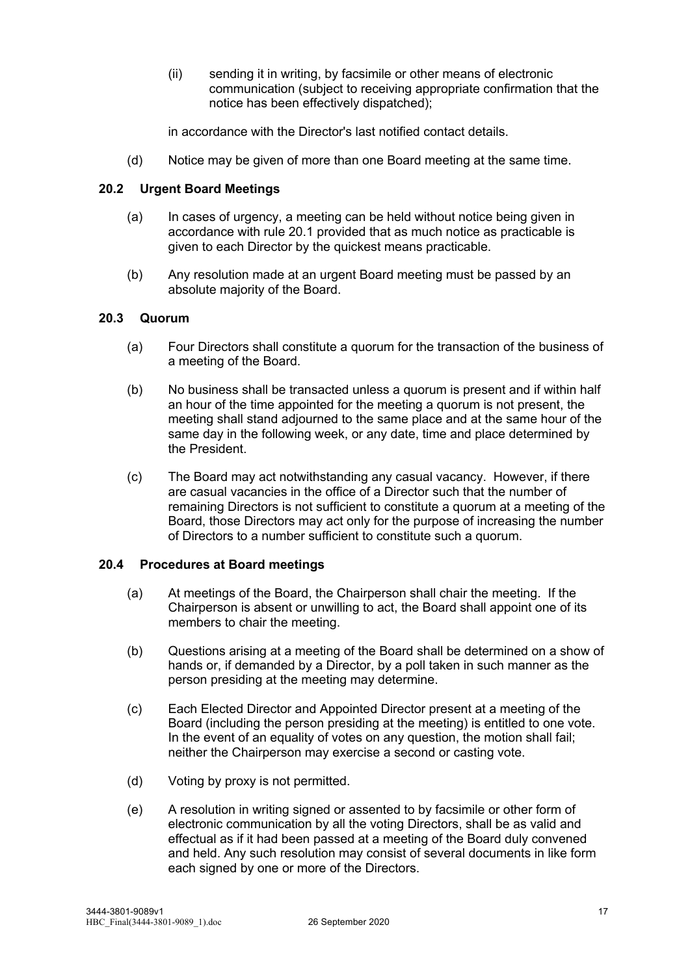(ii) sending it in writing, by facsimile or other means of electronic communication (subject to receiving appropriate confirmation that the notice has been effectively dispatched);

in accordance with the Director's last notified contact details.

(d) Notice may be given of more than one Board meeting at the same time.

#### **20.2 Urgent Board Meetings**

- (a) In cases of urgency, a meeting can be held without notice being given in accordance with rule 20.1 provided that as much notice as practicable is given to each Director by the quickest means practicable.
- (b) Any resolution made at an urgent Board meeting must be passed by an absolute majority of the Board.

#### **20.3 Quorum**

- (a) Four Directors shall constitute a quorum for the transaction of the business of a meeting of the Board.
- (b) No business shall be transacted unless a quorum is present and if within half an hour of the time appointed for the meeting a quorum is not present, the meeting shall stand adjourned to the same place and at the same hour of the same day in the following week, or any date, time and place determined by the President.
- (c) The Board may act notwithstanding any casual vacancy. However, if there are casual vacancies in the office of a Director such that the number of remaining Directors is not sufficient to constitute a quorum at a meeting of the Board, those Directors may act only for the purpose of increasing the number of Directors to a number sufficient to constitute such a quorum.

#### **20.4 Procedures at Board meetings**

- (a) At meetings of the Board, the Chairperson shall chair the meeting. If the Chairperson is absent or unwilling to act, the Board shall appoint one of its members to chair the meeting.
- (b) Questions arising at a meeting of the Board shall be determined on a show of hands or, if demanded by a Director, by a poll taken in such manner as the person presiding at the meeting may determine.
- (c) Each Elected Director and Appointed Director present at a meeting of the Board (including the person presiding at the meeting) is entitled to one vote. In the event of an equality of votes on any question, the motion shall fail; neither the Chairperson may exercise a second or casting vote.
- (d) Voting by proxy is not permitted.
- (e) A resolution in writing signed or assented to by facsimile or other form of electronic communication by all the voting Directors, shall be as valid and effectual as if it had been passed at a meeting of the Board duly convened and held. Any such resolution may consist of several documents in like form each signed by one or more of the Directors.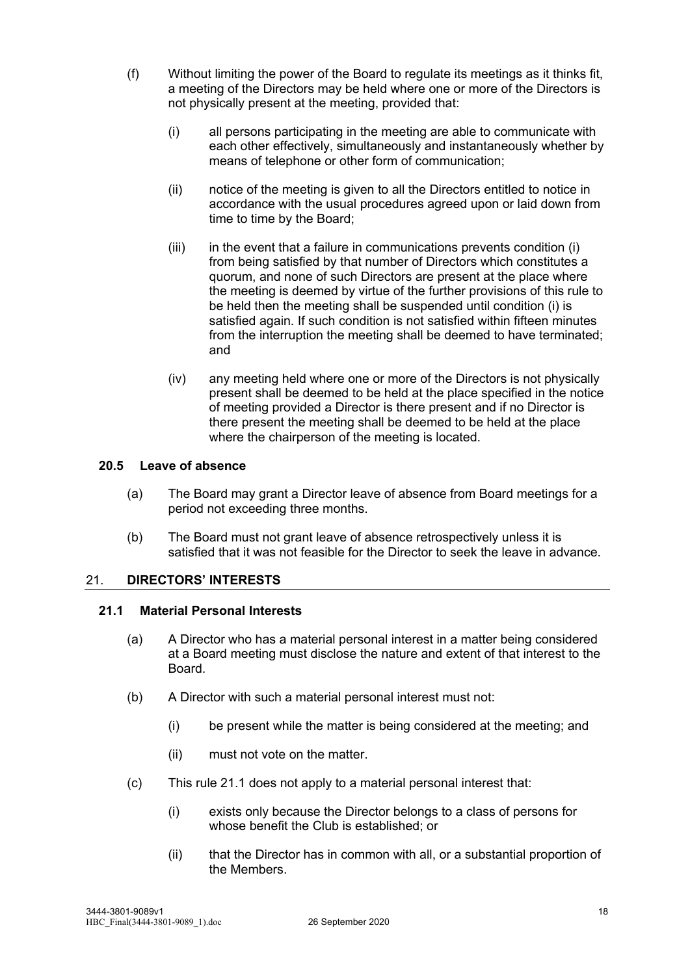- (f) Without limiting the power of the Board to regulate its meetings as it thinks fit, a meeting of the Directors may be held where one or more of the Directors is not physically present at the meeting, provided that:
	- (i) all persons participating in the meeting are able to communicate with each other effectively, simultaneously and instantaneously whether by means of telephone or other form of communication;
	- (ii) notice of the meeting is given to all the Directors entitled to notice in accordance with the usual procedures agreed upon or laid down from time to time by the Board;
	- $(iii)$  in the event that a failure in communications prevents condition  $(i)$ from being satisfied by that number of Directors which constitutes a quorum, and none of such Directors are present at the place where the meeting is deemed by virtue of the further provisions of this rule to be held then the meeting shall be suspended until condition (i) is satisfied again. If such condition is not satisfied within fifteen minutes from the interruption the meeting shall be deemed to have terminated; and
	- (iv) any meeting held where one or more of the Directors is not physically present shall be deemed to be held at the place specified in the notice of meeting provided a Director is there present and if no Director is there present the meeting shall be deemed to be held at the place where the chairperson of the meeting is located.

#### **20.5 Leave of absence**

- (a) The Board may grant a Director leave of absence from Board meetings for a period not exceeding three months.
- (b) The Board must not grant leave of absence retrospectively unless it is satisfied that it was not feasible for the Director to seek the leave in advance.

## 21. **DIRECTORS' INTERESTS**

#### **21.1 Material Personal Interests**

- (a) A Director who has a material personal interest in a matter being considered at a Board meeting must disclose the nature and extent of that interest to the Board.
- (b) A Director with such a material personal interest must not:
	- (i) be present while the matter is being considered at the meeting; and
	- (ii) must not vote on the matter.
- (c) This rule 21.1 does not apply to a material personal interest that:
	- (i) exists only because the Director belongs to a class of persons for whose benefit the Club is established; or
	- (ii) that the Director has in common with all, or a substantial proportion of the Members.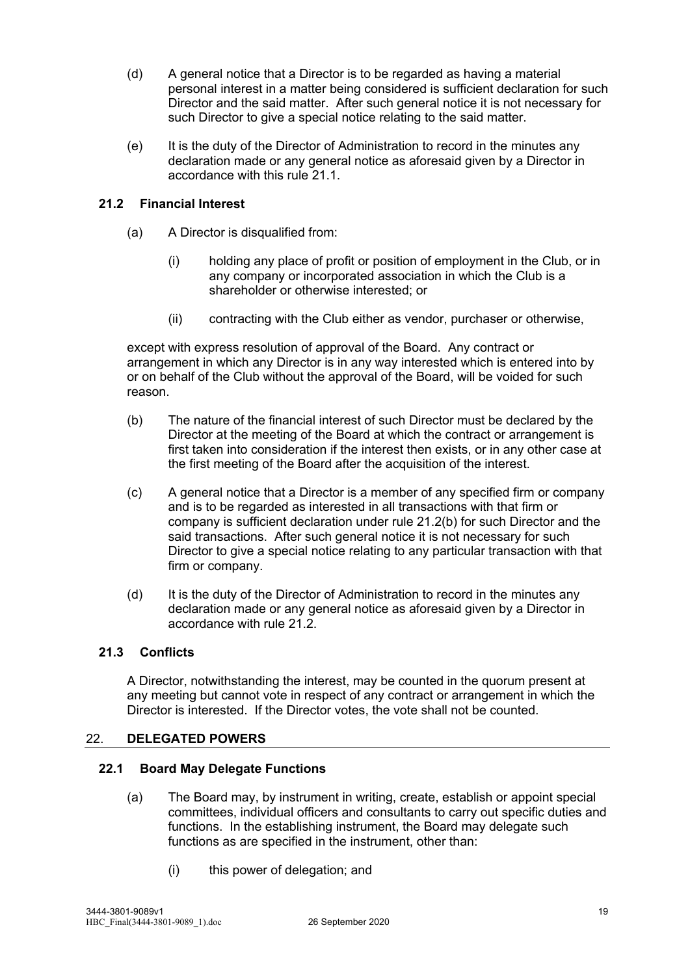- (d) A general notice that a Director is to be regarded as having a material personal interest in a matter being considered is sufficient declaration for such Director and the said matter. After such general notice it is not necessary for such Director to give a special notice relating to the said matter.
- (e) It is the duty of the Director of Administration to record in the minutes any declaration made or any general notice as aforesaid given by a Director in accordance with this rule 21.1.

## **21.2 Financial Interest**

- (a) A Director is disqualified from:
	- (i) holding any place of profit or position of employment in the Club, or in any company or incorporated association in which the Club is a shareholder or otherwise interested; or
	- (ii) contracting with the Club either as vendor, purchaser or otherwise,

except with express resolution of approval of the Board. Any contract or arrangement in which any Director is in any way interested which is entered into by or on behalf of the Club without the approval of the Board, will be voided for such reason.

- (b) The nature of the financial interest of such Director must be declared by the Director at the meeting of the Board at which the contract or arrangement is first taken into consideration if the interest then exists, or in any other case at the first meeting of the Board after the acquisition of the interest.
- (c) A general notice that a Director is a member of any specified firm or company and is to be regarded as interested in all transactions with that firm or company is sufficient declaration under rule 21.2(b) for such Director and the said transactions. After such general notice it is not necessary for such Director to give a special notice relating to any particular transaction with that firm or company.
- (d) It is the duty of the Director of Administration to record in the minutes any declaration made or any general notice as aforesaid given by a Director in accordance with rule 21.2.

## **21.3 Conflicts**

A Director, notwithstanding the interest, may be counted in the quorum present at any meeting but cannot vote in respect of any contract or arrangement in which the Director is interested. If the Director votes, the vote shall not be counted.

## 22. **DELEGATED POWERS**

## **22.1 Board May Delegate Functions**

- (a) The Board may, by instrument in writing, create, establish or appoint special committees, individual officers and consultants to carry out specific duties and functions. In the establishing instrument, the Board may delegate such functions as are specified in the instrument, other than:
	- (i) this power of delegation; and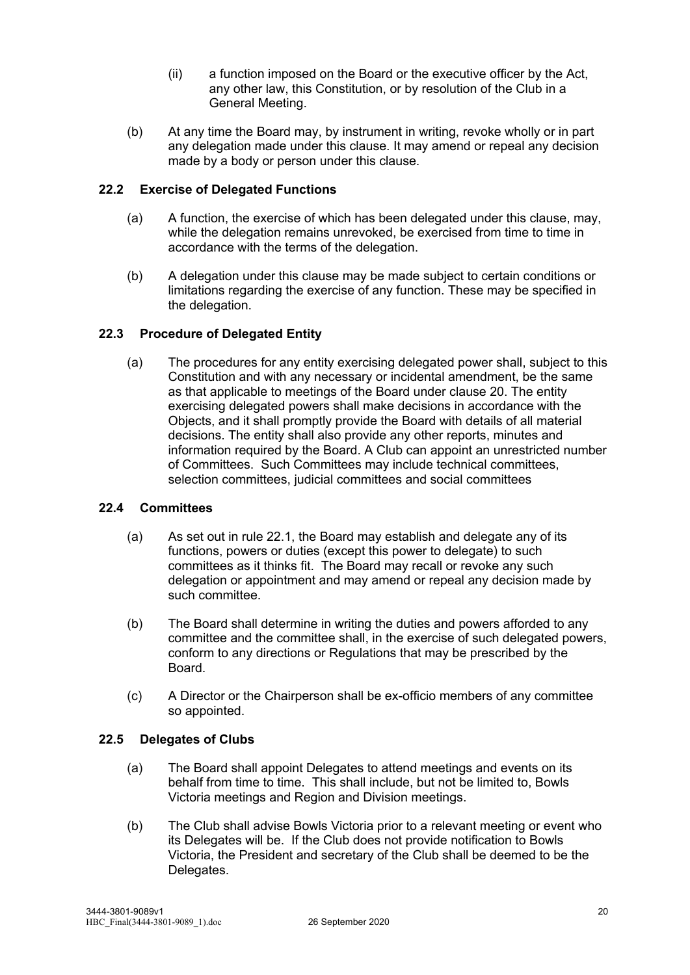- (ii) a function imposed on the Board or the executive officer by the Act, any other law, this Constitution, or by resolution of the Club in a General Meeting.
- (b) At any time the Board may, by instrument in writing, revoke wholly or in part any delegation made under this clause. It may amend or repeal any decision made by a body or person under this clause.

## **22.2 Exercise of Delegated Functions**

- (a) A function, the exercise of which has been delegated under this clause, may, while the delegation remains unrevoked, be exercised from time to time in accordance with the terms of the delegation.
- (b) A delegation under this clause may be made subject to certain conditions or limitations regarding the exercise of any function. These may be specified in the delegation.

## **22.3 Procedure of Delegated Entity**

(a) The procedures for any entity exercising delegated power shall, subject to this Constitution and with any necessary or incidental amendment, be the same as that applicable to meetings of the Board under clause 20. The entity exercising delegated powers shall make decisions in accordance with the Objects, and it shall promptly provide the Board with details of all material decisions. The entity shall also provide any other reports, minutes and information required by the Board. A Club can appoint an unrestricted number of Committees. Such Committees may include technical committees, selection committees, judicial committees and social committees

## **22.4 Committees**

- (a) As set out in rule 22.1, the Board may establish and delegate any of its functions, powers or duties (except this power to delegate) to such committees as it thinks fit. The Board may recall or revoke any such delegation or appointment and may amend or repeal any decision made by such committee.
- (b) The Board shall determine in writing the duties and powers afforded to any committee and the committee shall, in the exercise of such delegated powers, conform to any directions or Regulations that may be prescribed by the Board.
- (c) A Director or the Chairperson shall be ex-officio members of any committee so appointed.

## **22.5 Delegates of Clubs**

- (a) The Board shall appoint Delegates to attend meetings and events on its behalf from time to time. This shall include, but not be limited to, Bowls Victoria meetings and Region and Division meetings.
- (b) The Club shall advise Bowls Victoria prior to a relevant meeting or event who its Delegates will be. If the Club does not provide notification to Bowls Victoria, the President and secretary of the Club shall be deemed to be the Delegates.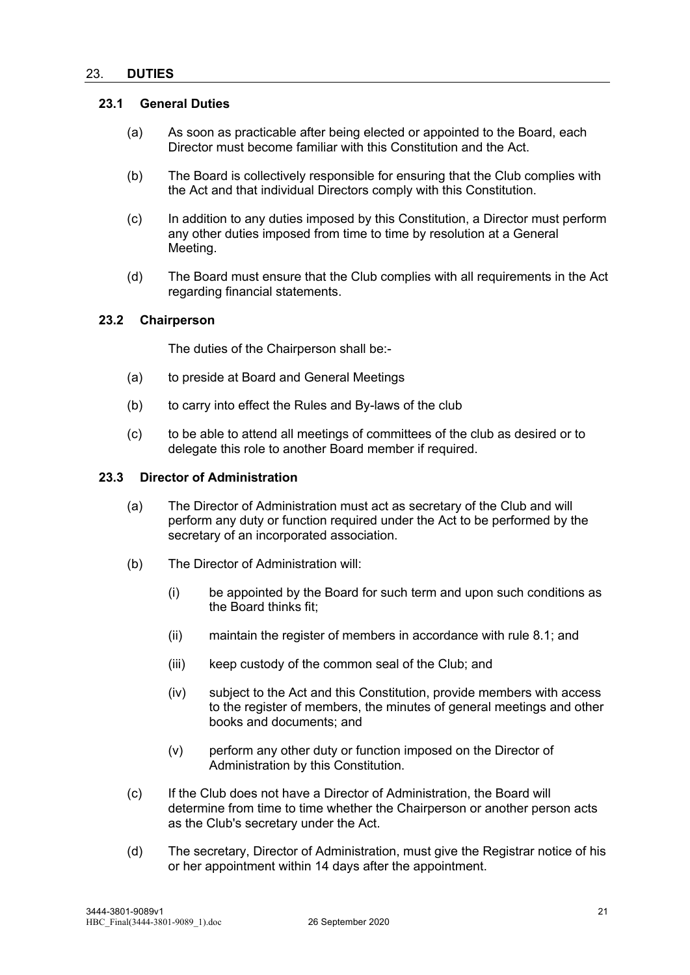### **23.1 General Duties**

- (a) As soon as practicable after being elected or appointed to the Board, each Director must become familiar with this Constitution and the Act.
- (b) The Board is collectively responsible for ensuring that the Club complies with the Act and that individual Directors comply with this Constitution.
- (c) In addition to any duties imposed by this Constitution, a Director must perform any other duties imposed from time to time by resolution at a General Meeting.
- (d) The Board must ensure that the Club complies with all requirements in the Act regarding financial statements.

#### **23.2 Chairperson**

The duties of the Chairperson shall be:-

- (a) to preside at Board and General Meetings
- (b) to carry into effect the Rules and By-laws of the club
- (c) to be able to attend all meetings of committees of the club as desired or to delegate this role to another Board member if required.

#### **23.3 Director of Administration**

- (a) The Director of Administration must act as secretary of the Club and will perform any duty or function required under the Act to be performed by the secretary of an incorporated association.
- (b) The Director of Administration will:
	- (i) be appointed by the Board for such term and upon such conditions as the Board thinks fit;
	- (ii) maintain the register of members in accordance with rule 8.1; and
	- (iii) keep custody of the common seal of the Club; and
	- (iv) subject to the Act and this Constitution, provide members with access to the register of members, the minutes of general meetings and other books and documents; and
	- (v) perform any other duty or function imposed on the Director of Administration by this Constitution.
- (c) If the Club does not have a Director of Administration, the Board will determine from time to time whether the Chairperson or another person acts as the Club's secretary under the Act.
- (d) The secretary, Director of Administration, must give the Registrar notice of his or her appointment within 14 days after the appointment.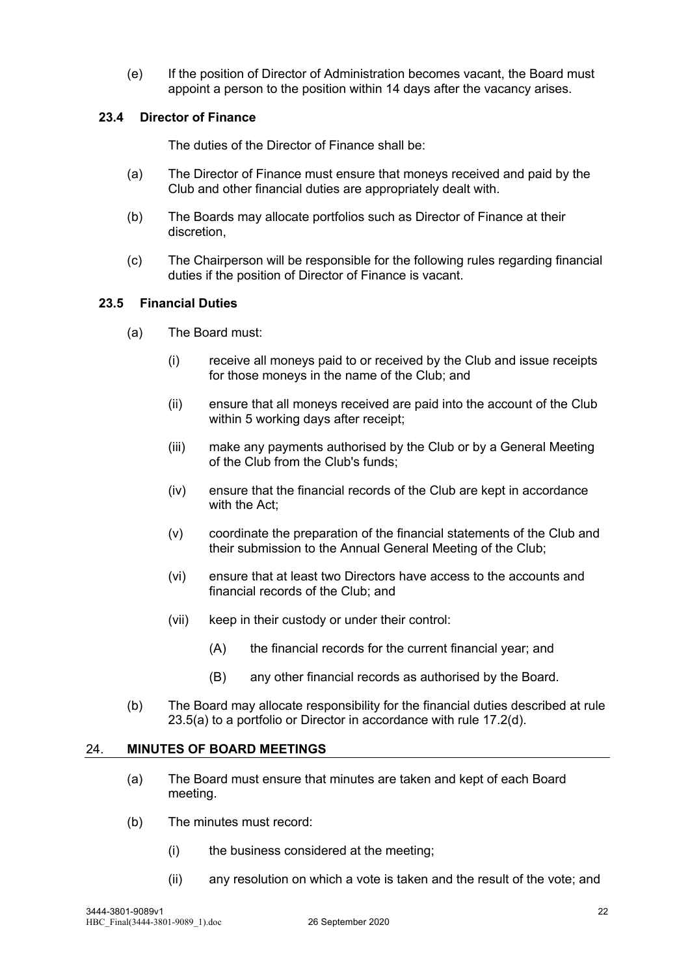(e) If the position of Director of Administration becomes vacant, the Board must appoint a person to the position within 14 days after the vacancy arises.

## **23.4 Director of Finance**

The duties of the Director of Finance shall be:

- (a) The Director of Finance must ensure that moneys received and paid by the Club and other financial duties are appropriately dealt with.
- (b) The Boards may allocate portfolios such as Director of Finance at their discretion,
- (c) The Chairperson will be responsible for the following rules regarding financial duties if the position of Director of Finance is vacant.

## **23.5 Financial Duties**

- (a) The Board must:
	- (i) receive all moneys paid to or received by the Club and issue receipts for those moneys in the name of the Club; and
	- (ii) ensure that all moneys received are paid into the account of the Club within 5 working days after receipt;
	- (iii) make any payments authorised by the Club or by a General Meeting of the Club from the Club's funds;
	- (iv) ensure that the financial records of the Club are kept in accordance with the Act;
	- (v) coordinate the preparation of the financial statements of the Club and their submission to the Annual General Meeting of the Club;
	- (vi) ensure that at least two Directors have access to the accounts and financial records of the Club; and
	- (vii) keep in their custody or under their control:
		- (A) the financial records for the current financial year; and
		- (B) any other financial records as authorised by the Board.
- (b) The Board may allocate responsibility for the financial duties described at rule 23.5(a) to a portfolio or Director in accordance with rule 17.2(d).

#### 24. **MINUTES OF BOARD MEETINGS**

- (a) The Board must ensure that minutes are taken and kept of each Board meeting.
- (b) The minutes must record:
	- (i) the business considered at the meeting;
	- (ii) any resolution on which a vote is taken and the result of the vote; and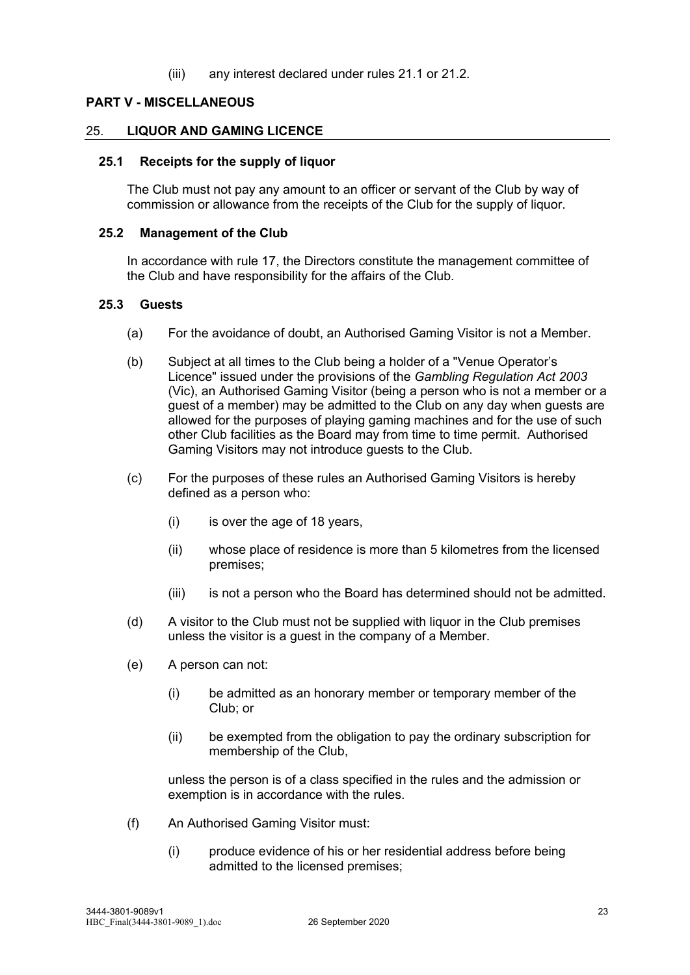#### (iii) any interest declared under rules 21.1 or 21.2.

#### **PART V - MISCELLANEOUS**

#### 25. **LIQUOR AND GAMING LICENCE**

#### **25.1 Receipts for the supply of liquor**

The Club must not pay any amount to an officer or servant of the Club by way of commission or allowance from the receipts of the Club for the supply of liquor.

#### **25.2 Management of the Club**

In accordance with rule 17, the Directors constitute the management committee of the Club and have responsibility for the affairs of the Club.

## **25.3 Guests**

- (a) For the avoidance of doubt, an Authorised Gaming Visitor is not a Member.
- (b) Subject at all times to the Club being a holder of a "Venue Operator's Licence" issued under the provisions of the *Gambling Regulation Act 2003*  (Vic), an Authorised Gaming Visitor (being a person who is not a member or a guest of a member) may be admitted to the Club on any day when guests are allowed for the purposes of playing gaming machines and for the use of such other Club facilities as the Board may from time to time permit. Authorised Gaming Visitors may not introduce guests to the Club.
- (c) For the purposes of these rules an Authorised Gaming Visitors is hereby defined as a person who:
	- (i) is over the age of 18 years,
	- (ii) whose place of residence is more than 5 kilometres from the licensed premises;
	- (iii) is not a person who the Board has determined should not be admitted.
- (d) A visitor to the Club must not be supplied with liquor in the Club premises unless the visitor is a guest in the company of a Member.
- (e) A person can not:
	- (i) be admitted as an honorary member or temporary member of the Club; or
	- (ii) be exempted from the obligation to pay the ordinary subscription for membership of the Club,

unless the person is of a class specified in the rules and the admission or exemption is in accordance with the rules.

- (f) An Authorised Gaming Visitor must:
	- (i) produce evidence of his or her residential address before being admitted to the licensed premises;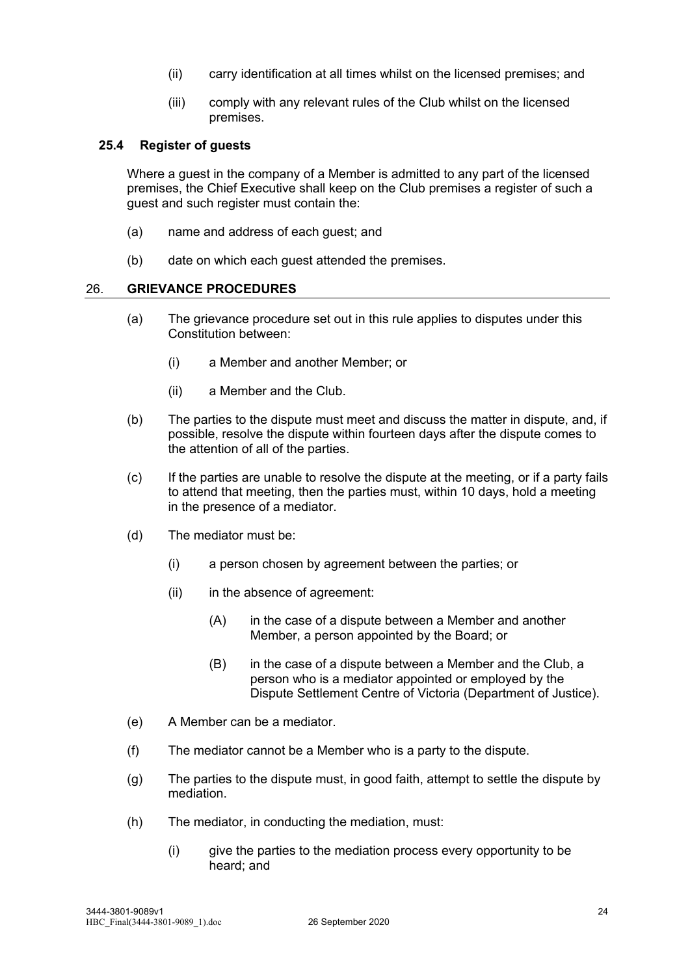- (ii) carry identification at all times whilst on the licensed premises; and
- (iii) comply with any relevant rules of the Club whilst on the licensed premises.

#### **25.4 Register of guests**

Where a guest in the company of a Member is admitted to any part of the licensed premises, the Chief Executive shall keep on the Club premises a register of such a guest and such register must contain the:

- (a) name and address of each guest; and
- (b) date on which each guest attended the premises.

#### 26. **GRIEVANCE PROCEDURES**

- (a) The grievance procedure set out in this rule applies to disputes under this Constitution between:
	- (i) a Member and another Member; or
	- (ii) a Member and the Club.
- (b) The parties to the dispute must meet and discuss the matter in dispute, and, if possible, resolve the dispute within fourteen days after the dispute comes to the attention of all of the parties.
- (c) If the parties are unable to resolve the dispute at the meeting, or if a party fails to attend that meeting, then the parties must, within 10 days, hold a meeting in the presence of a mediator.
- (d) The mediator must be:
	- (i) a person chosen by agreement between the parties; or
	- (ii) in the absence of agreement:
		- (A) in the case of a dispute between a Member and another Member, a person appointed by the Board; or
		- (B) in the case of a dispute between a Member and the Club, a person who is a mediator appointed or employed by the Dispute Settlement Centre of Victoria (Department of Justice).
- (e) A Member can be a mediator.
- (f) The mediator cannot be a Member who is a party to the dispute.
- (g) The parties to the dispute must, in good faith, attempt to settle the dispute by mediation.
- (h) The mediator, in conducting the mediation, must:
	- (i) give the parties to the mediation process every opportunity to be heard; and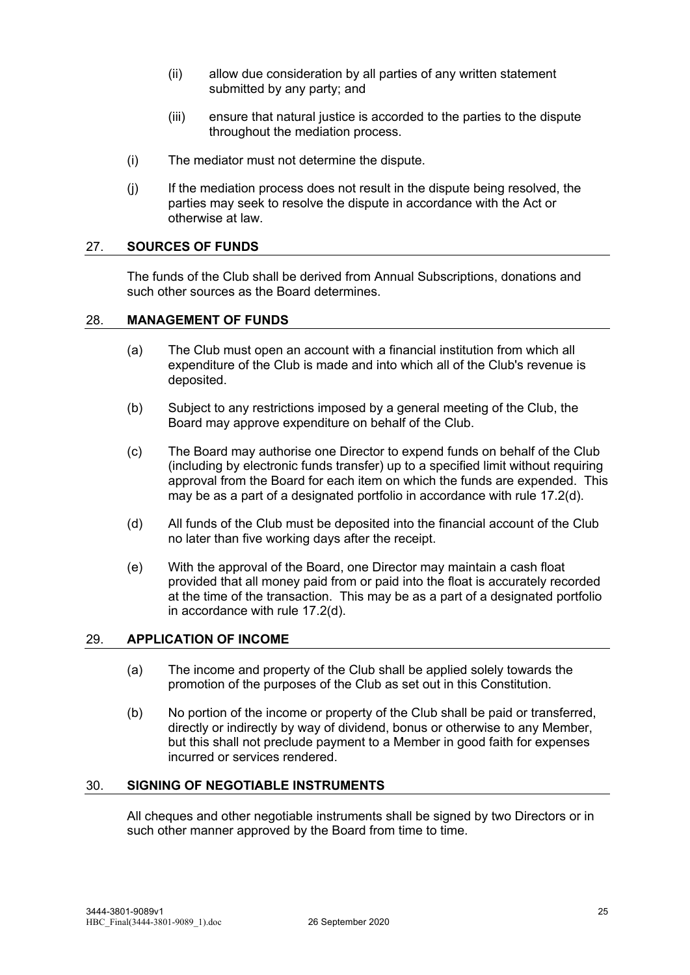- (ii) allow due consideration by all parties of any written statement submitted by any party; and
- (iii) ensure that natural justice is accorded to the parties to the dispute throughout the mediation process.
- (i) The mediator must not determine the dispute.
- (j) If the mediation process does not result in the dispute being resolved, the parties may seek to resolve the dispute in accordance with the Act or otherwise at law.

## 27. **SOURCES OF FUNDS**

The funds of the Club shall be derived from Annual Subscriptions, donations and such other sources as the Board determines.

#### 28. **MANAGEMENT OF FUNDS**

- (a) The Club must open an account with a financial institution from which all expenditure of the Club is made and into which all of the Club's revenue is deposited.
- (b) Subject to any restrictions imposed by a general meeting of the Club, the Board may approve expenditure on behalf of the Club.
- (c) The Board may authorise one Director to expend funds on behalf of the Club (including by electronic funds transfer) up to a specified limit without requiring approval from the Board for each item on which the funds are expended. This may be as a part of a designated portfolio in accordance with rule 17.2(d).
- (d) All funds of the Club must be deposited into the financial account of the Club no later than five working days after the receipt.
- (e) With the approval of the Board, one Director may maintain a cash float provided that all money paid from or paid into the float is accurately recorded at the time of the transaction. This may be as a part of a designated portfolio in accordance with rule 17.2(d).

#### 29. **APPLICATION OF INCOME**

- (a) The income and property of the Club shall be applied solely towards the promotion of the purposes of the Club as set out in this Constitution.
- (b) No portion of the income or property of the Club shall be paid or transferred, directly or indirectly by way of dividend, bonus or otherwise to any Member, but this shall not preclude payment to a Member in good faith for expenses incurred or services rendered.

#### 30. **SIGNING OF NEGOTIABLE INSTRUMENTS**

All cheques and other negotiable instruments shall be signed by two Directors or in such other manner approved by the Board from time to time.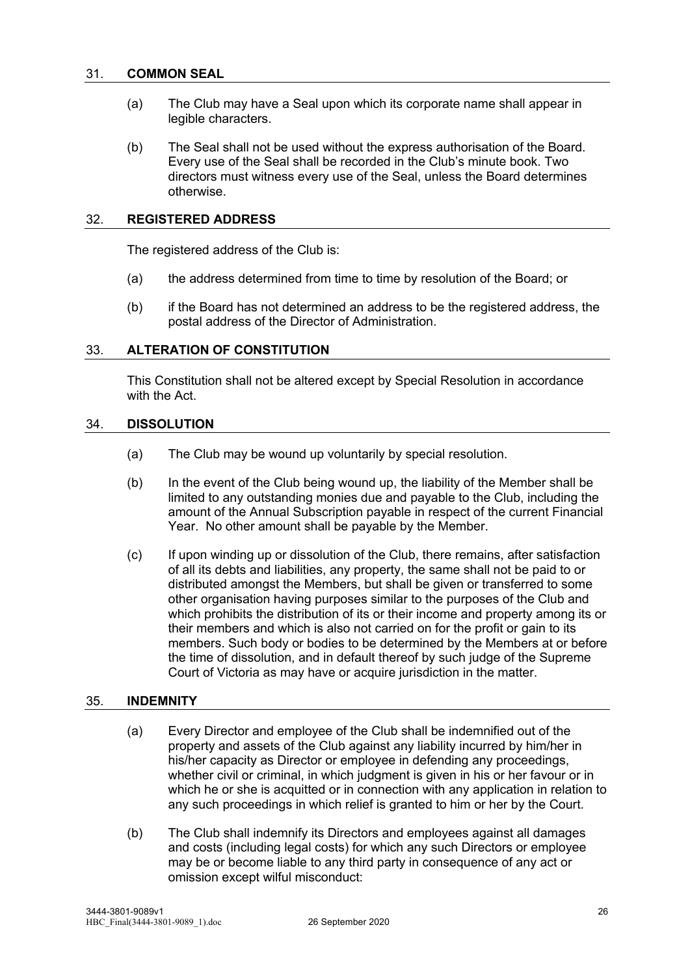#### 31. **COMMON SEAL**

- (a) The Club may have a Seal upon which its corporate name shall appear in legible characters.
- (b) The Seal shall not be used without the express authorisation of the Board. Every use of the Seal shall be recorded in the Club's minute book. Two directors must witness every use of the Seal, unless the Board determines otherwise.

#### 32. **REGISTERED ADDRESS**

The registered address of the Club is:

- (a) the address determined from time to time by resolution of the Board; or
- (b) if the Board has not determined an address to be the registered address, the postal address of the Director of Administration.

## 33. **ALTERATION OF CONSTITUTION**

This Constitution shall not be altered except by Special Resolution in accordance with the Act.

#### 34. **DISSOLUTION**

- (a) The Club may be wound up voluntarily by special resolution.
- (b) In the event of the Club being wound up, the liability of the Member shall be limited to any outstanding monies due and payable to the Club, including the amount of the Annual Subscription payable in respect of the current Financial Year. No other amount shall be payable by the Member.
- (c) If upon winding up or dissolution of the Club, there remains, after satisfaction of all its debts and liabilities, any property, the same shall not be paid to or distributed amongst the Members, but shall be given or transferred to some other organisation having purposes similar to the purposes of the Club and which prohibits the distribution of its or their income and property among its or their members and which is also not carried on for the profit or gain to its members. Such body or bodies to be determined by the Members at or before the time of dissolution, and in default thereof by such judge of the Supreme Court of Victoria as may have or acquire jurisdiction in the matter.

#### 35. **INDEMNITY**

- (a) Every Director and employee of the Club shall be indemnified out of the property and assets of the Club against any liability incurred by him/her in his/her capacity as Director or employee in defending any proceedings, whether civil or criminal, in which judgment is given in his or her favour or in which he or she is acquitted or in connection with any application in relation to any such proceedings in which relief is granted to him or her by the Court.
- (b) The Club shall indemnify its Directors and employees against all damages and costs (including legal costs) for which any such Directors or employee may be or become liable to any third party in consequence of any act or omission except wilful misconduct: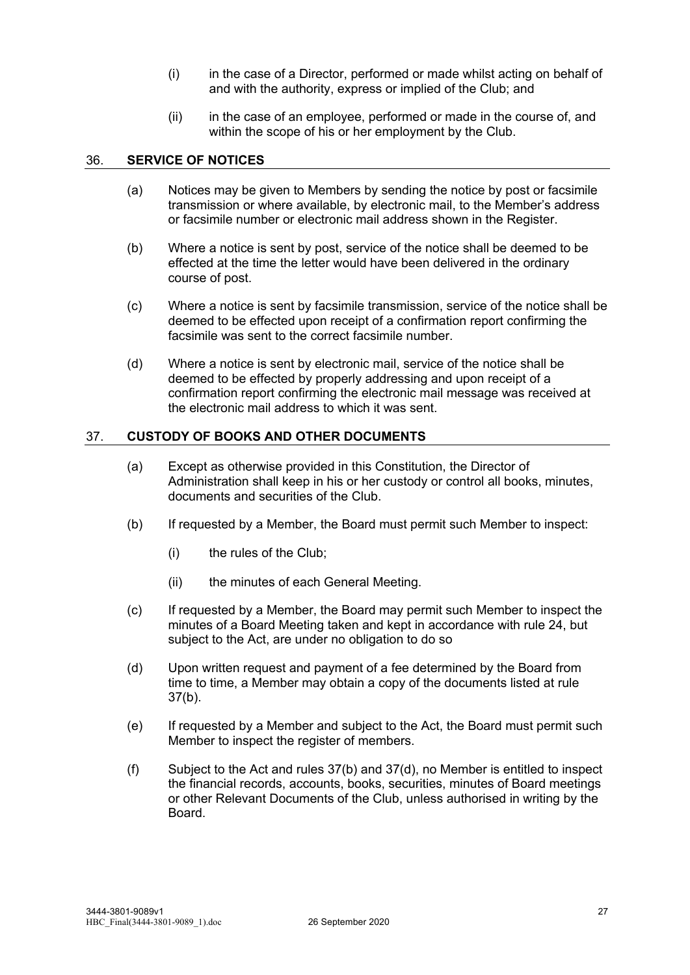- (i) in the case of a Director, performed or made whilst acting on behalf of and with the authority, express or implied of the Club; and
- (ii) in the case of an employee, performed or made in the course of, and within the scope of his or her employment by the Club.

## 36. **SERVICE OF NOTICES**

- (a) Notices may be given to Members by sending the notice by post or facsimile transmission or where available, by electronic mail, to the Member's address or facsimile number or electronic mail address shown in the Register.
- (b) Where a notice is sent by post, service of the notice shall be deemed to be effected at the time the letter would have been delivered in the ordinary course of post.
- (c) Where a notice is sent by facsimile transmission, service of the notice shall be deemed to be effected upon receipt of a confirmation report confirming the facsimile was sent to the correct facsimile number.
- (d) Where a notice is sent by electronic mail, service of the notice shall be deemed to be effected by properly addressing and upon receipt of a confirmation report confirming the electronic mail message was received at the electronic mail address to which it was sent.

#### 37. **CUSTODY OF BOOKS AND OTHER DOCUMENTS**

- (a) Except as otherwise provided in this Constitution, the Director of Administration shall keep in his or her custody or control all books, minutes, documents and securities of the Club.
- (b) If requested by a Member, the Board must permit such Member to inspect:
	- (i) the rules of the Club;
	- (ii) the minutes of each General Meeting.
- (c) If requested by a Member, the Board may permit such Member to inspect the minutes of a Board Meeting taken and kept in accordance with rule 24, but subject to the Act, are under no obligation to do so
- (d) Upon written request and payment of a fee determined by the Board from time to time, a Member may obtain a copy of the documents listed at rule 37(b).
- (e) If requested by a Member and subject to the Act, the Board must permit such Member to inspect the register of members.
- (f) Subject to the Act and rules 37(b) and 37(d), no Member is entitled to inspect the financial records, accounts, books, securities, minutes of Board meetings or other Relevant Documents of the Club, unless authorised in writing by the Board.